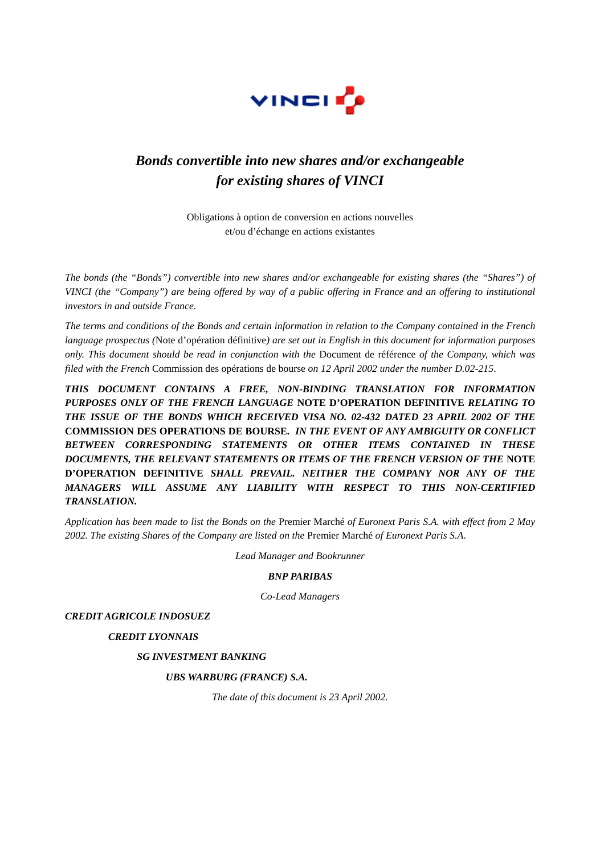

# *Bonds convertible into new shares and/or exchangeable for existing shares of VINCI*

Obligations à option de conversion en actions nouvelles et/ou d'échange en actions existantes

*The bonds (the "Bonds") convertible into new shares and/or exchangeable for existing shares (the "Shares") of VINCI (the "Company") are being offered by way of a public offering in France and an offering to institutional investors in and outside France.*

*The terms and conditions of the Bonds and certain information in relation to the Company contained in the French language prospectus (*Note d'opération définitive*) are set out in English in this document for information purposes only. This document should be read in conjunction with the* Document de référence *of the Company, which was filed with the French* Commission des opérations de bourse *on 12 April 2002 under the number D.02-215*.

*THIS DOCUMENT CONTAINS A FREE, NON-BINDING TRANSLATION FOR INFORMATION PURPOSES ONLY OF THE FRENCH LANGUAGE* **NOTE D'OPERATION DEFINITIVE** *RELATING TO THE ISSUE OF THE BONDS WHICH RECEIVED VISA NO. 02-432 DATED 23 APRIL 2002 OF THE* **COMMISSION DES OPERATIONS DE BOURSE.** *IN THE EVENT OF ANY AMBIGUITY OR CONFLICT BETWEEN CORRESPONDING STATEMENTS OR OTHER ITEMS CONTAINED IN THESE DOCUMENTS, THE RELEVANT STATEMENTS OR ITEMS OF THE FRENCH VERSION OF THE* **NOTE D'OPERATION DEFINITIVE** *SHALL PREVAIL. NEITHER THE COMPANY NOR ANY OF THE MANAGERS WILL ASSUME ANY LIABILITY WITH RESPECT TO THIS NON-CERTIFIED TRANSLATION.*

*Application has been made to list the Bonds on the* Premier Marché *of Euronext Paris S.A. with effect from 2 May 2002. The existing Shares of the Company are listed on the* Premier Marché *of Euronext Paris S.A*.

*Lead Manager and Bookrunner* 

## *BNP PARIBAS*

*Co-Lead Managers* 

*CREDIT AGRICOLE INDOSUEZ* 

 *CREDIT LYONNAIS* 

 *SG INVESTMENT BANKING* 

 *UBS WARBURG (FRANCE) S.A.*

*The date of this document is 23 April 2002.*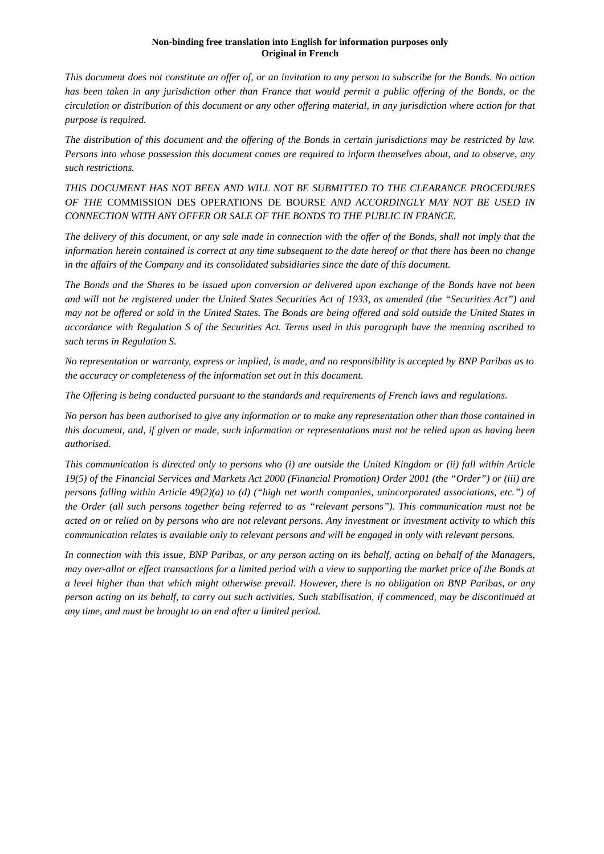*This document does not constitute an offer of, or an invitation to any person to subscribe for the Bonds. No action*  has been taken in any jurisdiction other than France that would permit a public offering of the Bonds, or the *circulation or distribution of this document or any other offering material, in any jurisdiction where action for that purpose is required.* 

*The distribution of this document and the offering of the Bonds in certain jurisdictions may be restricted by law. Persons into whose possession this document comes are required to inform themselves about, and to observe, any such restrictions.* 

*THIS DOCUMENT HAS NOT BEEN AND WILL NOT BE SUBMITTED TO THE CLEARANCE PROCEDURES OF THE* COMMISSION DES OPERATIONS DE BOURSE *AND ACCORDINGLY MAY NOT BE USED IN CONNECTION WITH ANY OFFER OR SALE OF THE BONDS TO THE PUBLIC IN FRANCE.* 

*The delivery of this document, or any sale made in connection with the offer of the Bonds, shall not imply that the information herein contained is correct at any time subsequent to the date hereof or that there has been no change in the affairs of the Company and its consolidated subsidiaries since the date of this document.* 

*The Bonds and the Shares to be issued upon conversion or delivered upon exchange of the Bonds have not been and will not be registered under the United States Securities Act of 1933, as amended (the "Securities Act") and may not be offered or sold in the United States. The Bonds are being offered and sold outside the United States in accordance with Regulation S of the Securities Act. Terms used in this paragraph have the meaning ascribed to such terms in Regulation S.* 

*No representation or warranty, express or implied, is made, and no responsibility is accepted by BNP Paribas as to the accuracy or completeness of the information set out in this document.* 

*The Offering is being conducted pursuant to the standards and requirements of French laws and regulations.* 

*No person has been authorised to give any information or to make any representation other than those contained in this document, and, if given or made, such information or representations must not be relied upon as having been authorised.*

*This communication is directed only to persons who (i) are outside the United Kingdom or (ii) fall within Article 19(5) of the Financial Services and Markets Act 2000 (Financial Promotion) Order 2001 (the "Order") or (iii) are persons falling within Article 49(2)(a) to (d) ("high net worth companies, unincorporated associations, etc.") of the Order (all such persons together being referred to as "relevant persons"). This communication must not be acted on or relied on by persons who are not relevant persons. Any investment or investment activity to which this communication relates is available only to relevant persons and will be engaged in only with relevant persons.*

*In connection with this issue, BNP Paribas, or any person acting on its behalf, acting on behalf of the Managers, may over-allot or effect transactions for a limited period with a view to supporting the market price of the Bonds at a level higher than that which might otherwise prevail. However, there is no obligation on BNP Paribas, or any person acting on its behalf, to carry out such activities. Such stabilisation, if commenced, may be discontinued at any time, and must be brought to an end after a limited period.*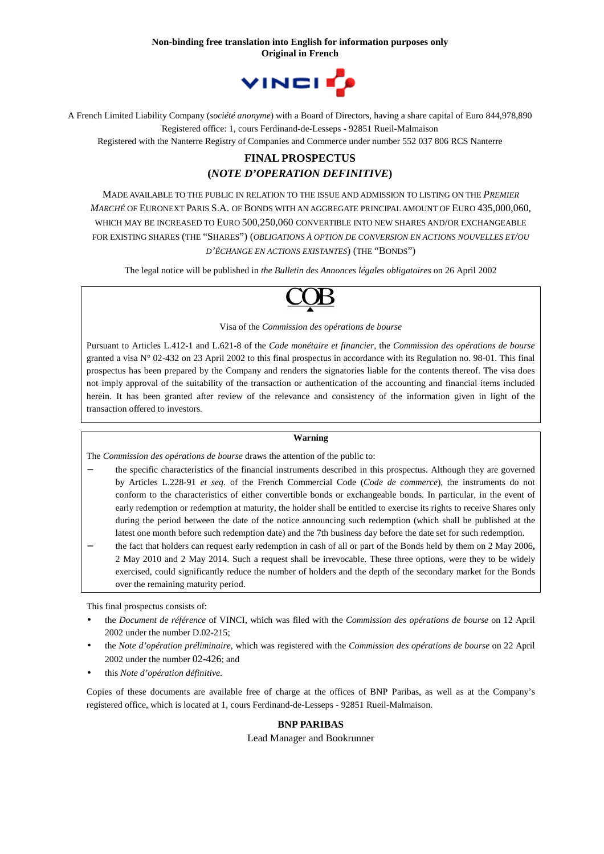

A French Limited Liability Company (*société anonyme*) with a Board of Directors, having a share capital of Euro 844,978,890 Registered office: 1, cours Ferdinand-de-Lesseps - 92851 Rueil-Malmaison

Registered with the Nanterre Registry of Companies and Commerce under number 552 037 806 RCS Nanterre

# **FINAL PROSPECTUS (***NOTE D'OPERATION DEFINITIVE***)**

MADE AVAILABLE TO THE PUBLIC IN RELATION TO THE ISSUE AND ADMISSION TO LISTING ON THE *PREMIER MARCHÉ* OF EURONEXT PARIS S.A. OF BONDS WITH AN AGGREGATE PRINCIPAL AMOUNT OF EURO 435,000,060, WHICH MAY BE INCREASED TO EURO 500,250,060 CONVERTIBLE INTO NEW SHARES AND/OR EXCHANGEABLE FOR EXISTING SHARES (THE "SHARES") (*OBLIGATIONS À OPTION DE CONVERSION EN ACTIONS NOUVELLES ET/OU D'ÉCHANGE EN ACTIONS EXISTANTES*) (THE "BONDS")

The legal notice will be published in *the Bulletin des Annonces légales obligatoires* on 26 April 2002



Visa of the *Commission des opérations de bourse* 

Pursuant to Articles L.412-1 and L.621-8 of the *Code monétaire et financier*, the *Commission des opérations de bourse* granted a visa  $N^{\circ}$  02-432 on 23 April 2002 to this final prospectus in accordance with its Regulation no. 98-01. This final prospectus has been prepared by the Company and renders the signatories liable for the contents thereof. The visa does not imply approval of the suitability of the transaction or authentication of the accounting and financial items included herein. It has been granted after review of the relevance and consistency of the information given in light of the transaction offered to investors.

#### **Warning**

The *Commission des opérations de bourse* draws the attention of the public to:

- − the specific characteristics of the financial instruments described in this prospectus. Although they are governed by Articles L.228-91 *et seq.* of the French Commercial Code (*Code de commerce*), the instruments do not conform to the characteristics of either convertible bonds or exchangeable bonds. In particular, in the event of early redemption or redemption at maturity, the holder shall be entitled to exercise its rights to receive Shares only during the period between the date of the notice announcing such redemption (which shall be published at the latest one month before such redemption date) and the 7th business day before the date set for such redemption.
- − the fact that holders can request early redemption in cash of all or part of the Bonds held by them on 2 May 2006**,**  2 May 2010 and 2 May 2014. Such a request shall be irrevocable. These three options, were they to be widely exercised, could significantly reduce the number of holders and the depth of the secondary market for the Bonds over the remaining maturity period.

This final prospectus consists of:

- the *Document de référence* of VINCI, which was filed with the *Commission des opérations de bourse* on 12 April 2002 under the number D.02-215;
- the *Note d'opération préliminaire*, which was registered with the *Commission des opérations de bourse* on 22 April 2002 under the number 02-426; and
- this *Note d'opération définitive*.

Copies of these documents are available free of charge at the offices of BNP Paribas, as well as at the Company's registered office, which is located at 1, cours Ferdinand-de-Lesseps - 92851 Rueil-Malmaison.

## **BNP PARIBAS**

Lead Manager and Bookrunner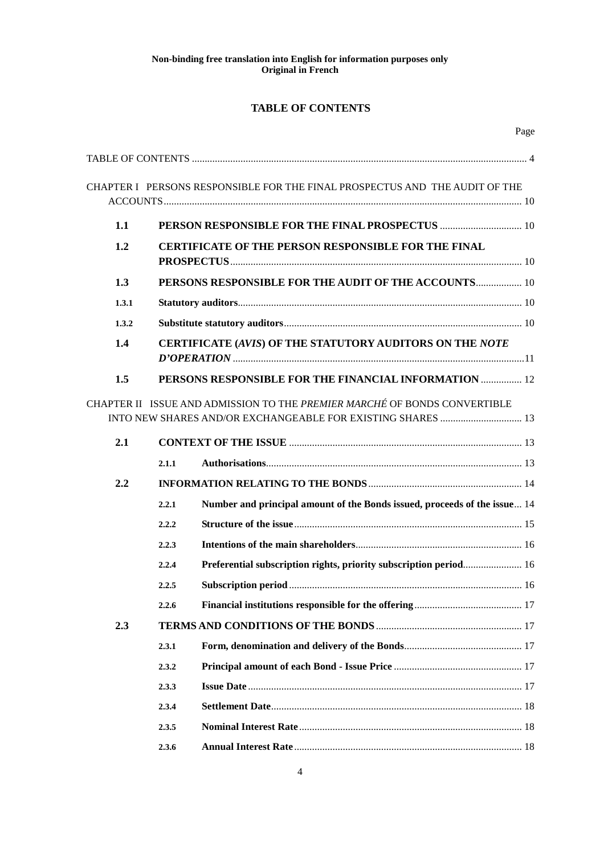# **TABLE OF CONTENTS**

|       |       | CHAPTER I PERSONS RESPONSIBLE FOR THE FINAL PROSPECTUS AND THE AUDIT OF THE                                                              |  |
|-------|-------|------------------------------------------------------------------------------------------------------------------------------------------|--|
| 1.1   |       |                                                                                                                                          |  |
| 1.2   |       | CERTIFICATE OF THE PERSON RESPONSIBLE FOR THE FINAL                                                                                      |  |
| 1.3   |       | PERSONS RESPONSIBLE FOR THE AUDIT OF THE ACCOUNTS 10                                                                                     |  |
| 1.3.1 |       |                                                                                                                                          |  |
| 1.3.2 |       |                                                                                                                                          |  |
| 1.4   |       | CERTIFICATE (AVIS) OF THE STATUTORY AUDITORS ON THE NOTE                                                                                 |  |
| 1.5   |       | PERSONS RESPONSIBLE FOR THE FINANCIAL INFORMATION  12                                                                                    |  |
|       |       | CHAPTER II ISSUE AND ADMISSION TO THE PREMIER MARCHÉ OF BONDS CONVERTIBLE<br>INTO NEW SHARES AND/OR EXCHANGEABLE FOR EXISTING SHARES  13 |  |
| 2.1   |       |                                                                                                                                          |  |
|       | 2.1.1 |                                                                                                                                          |  |
| 2.2   |       |                                                                                                                                          |  |
|       | 2.2.1 | Number and principal amount of the Bonds issued, proceeds of the issue 14                                                                |  |
|       | 2.2.2 |                                                                                                                                          |  |
|       | 2.2.3 |                                                                                                                                          |  |
|       | 2.2.4 | Preferential subscription rights, priority subscription period 16                                                                        |  |
|       | 2.2.5 |                                                                                                                                          |  |
|       | 2.2.6 |                                                                                                                                          |  |
| 2.3   |       |                                                                                                                                          |  |
|       | 2.3.1 |                                                                                                                                          |  |
|       | 2.3.2 |                                                                                                                                          |  |
|       | 2.3.3 |                                                                                                                                          |  |
|       | 2.3.4 |                                                                                                                                          |  |
|       | 2.3.5 |                                                                                                                                          |  |
|       | 2.3.6 |                                                                                                                                          |  |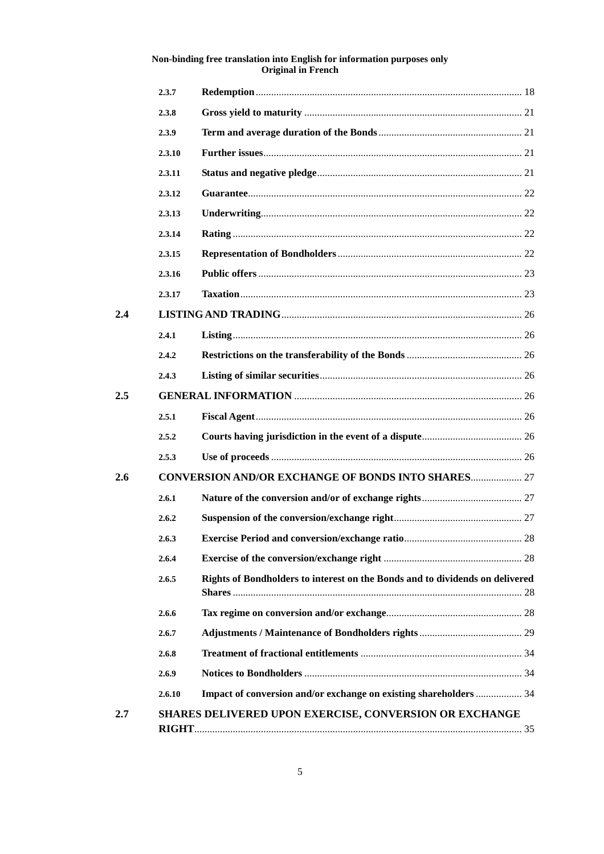|         | 2.3.7  |                                                                              |  |
|---------|--------|------------------------------------------------------------------------------|--|
|         | 2.3.8  |                                                                              |  |
|         | 2.3.9  |                                                                              |  |
|         | 2.3.10 |                                                                              |  |
|         | 2.3.11 |                                                                              |  |
|         | 2.3.12 |                                                                              |  |
|         | 2.3.13 |                                                                              |  |
|         | 2.3.14 |                                                                              |  |
|         | 2.3.15 |                                                                              |  |
|         | 2.3.16 |                                                                              |  |
|         | 2.3.17 |                                                                              |  |
| 2.4     |        |                                                                              |  |
|         | 2.4.1  |                                                                              |  |
|         | 2.4.2  |                                                                              |  |
|         | 2.4.3  |                                                                              |  |
| $2.5\,$ |        |                                                                              |  |
|         | 2.5.1  |                                                                              |  |
|         | 2.5.2  |                                                                              |  |
|         | 2.5.3  |                                                                              |  |
| 2.6     |        | <b>CONVERSION AND/OR EXCHANGE OF BONDS INTO SHARES 27</b>                    |  |
|         | 2.6.1  |                                                                              |  |
|         | 2.6.2  |                                                                              |  |
|         | 263    |                                                                              |  |
|         | 2.6.4  |                                                                              |  |
|         | 2.6.5  | Rights of Bondholders to interest on the Bonds and to dividends on delivered |  |
|         | 2.6.6  |                                                                              |  |
|         | 2.6.7  |                                                                              |  |
|         | 2.6.8  |                                                                              |  |
|         | 2.6.9  |                                                                              |  |
|         | 2.6.10 | Impact of conversion and/or exchange on existing shareholders  34            |  |
| $2.7\,$ |        | <b>SHARES DELIVERED UPON EXERCISE, CONVERSION OR EXCHANGE</b>                |  |
|         |        |                                                                              |  |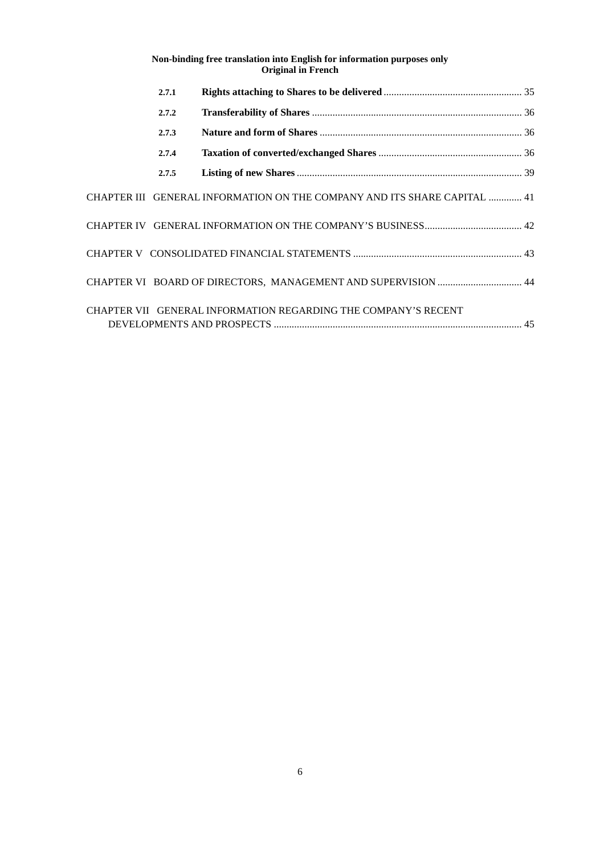| 2.7.1 |                                                                          |  |
|-------|--------------------------------------------------------------------------|--|
| 2.7.2 |                                                                          |  |
| 2.7.3 |                                                                          |  |
| 2.7.4 |                                                                          |  |
| 2.7.5 |                                                                          |  |
|       | CHAPTER III GENERAL INFORMATION ON THE COMPANY AND ITS SHARE CAPITAL  41 |  |
|       |                                                                          |  |
|       |                                                                          |  |
|       | CHAPTER VI BOARD OF DIRECTORS, MANAGEMENT AND SUPERVISION  44            |  |
|       | CHAPTER VII GENERAL INFORMATION REGARDING THE COMPANY'S RECENT           |  |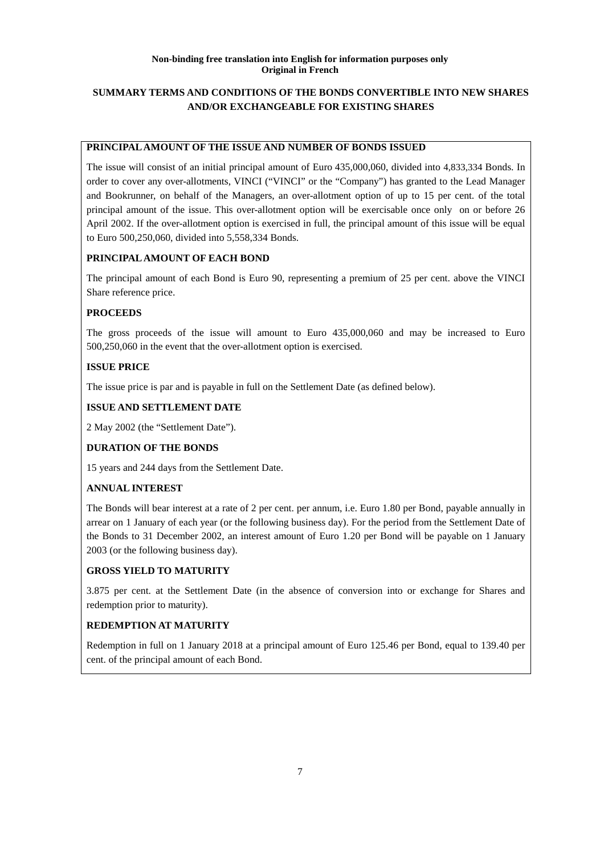# **SUMMARY TERMS AND CONDITIONS OF THE BONDS CONVERTIBLE INTO NEW SHARES AND/OR EXCHANGEABLE FOR EXISTING SHARES**

## **PRINCIPAL AMOUNT OF THE ISSUE AND NUMBER OF BONDS ISSUED**

The issue will consist of an initial principal amount of Euro 435,000,060, divided into 4,833,334 Bonds. In order to cover any over-allotments, VINCI ("VINCI" or the "Company") has granted to the Lead Manager and Bookrunner, on behalf of the Managers, an over-allotment option of up to 15 per cent. of the total principal amount of the issue. This over-allotment option will be exercisable once only on or before 26 April 2002. If the over-allotment option is exercised in full, the principal amount of this issue will be equal to Euro 500,250,060, divided into 5,558,334 Bonds.

## **PRINCIPAL AMOUNT OF EACH BOND**

The principal amount of each Bond is Euro 90, representing a premium of 25 per cent. above the VINCI Share reference price.

# **PROCEEDS**

The gross proceeds of the issue will amount to Euro 435,000,060 and may be increased to Euro 500,250,060 in the event that the over-allotment option is exercised.

# **ISSUE PRICE**

The issue price is par and is payable in full on the Settlement Date (as defined below).

## **ISSUE AND SETTLEMENT DATE**

2 May 2002 (the "Settlement Date").

# **DURATION OF THE BONDS**

15 years and 244 days from the Settlement Date.

# **ANNUAL INTEREST**

The Bonds will bear interest at a rate of 2 per cent. per annum, i.e. Euro 1.80 per Bond, payable annually in arrear on 1 January of each year (or the following business day). For the period from the Settlement Date of the Bonds to 31 December 2002, an interest amount of Euro 1.20 per Bond will be payable on 1 January 2003 (or the following business day).

## **GROSS YIELD TO MATURITY**

3.875 per cent. at the Settlement Date (in the absence of conversion into or exchange for Shares and redemption prior to maturity).

# **REDEMPTION AT MATURITY**

Redemption in full on 1 January 2018 at a principal amount of Euro 125.46 per Bond, equal to 139.40 per cent. of the principal amount of each Bond.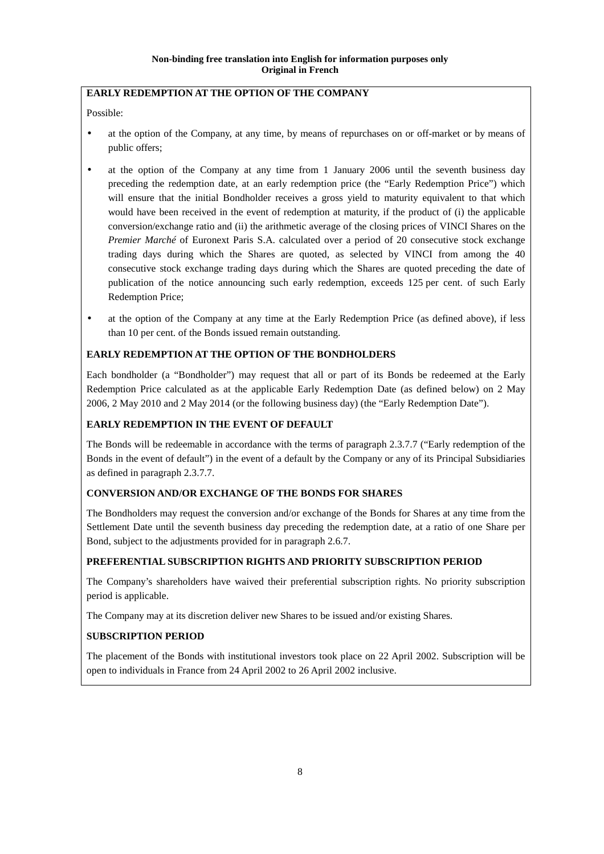# **EARLY REDEMPTION AT THE OPTION OF THE COMPANY**

Possible:

- at the option of the Company, at any time, by means of repurchases on or off-market or by means of public offers;
- at the option of the Company at any time from 1 January 2006 until the seventh business day preceding the redemption date, at an early redemption price (the "Early Redemption Price") which will ensure that the initial Bondholder receives a gross yield to maturity equivalent to that which would have been received in the event of redemption at maturity, if the product of (i) the applicable conversion/exchange ratio and (ii) the arithmetic average of the closing prices of VINCI Shares on the *Premier Marché* of Euronext Paris S.A. calculated over a period of 20 consecutive stock exchange trading days during which the Shares are quoted, as selected by VINCI from among the 40 consecutive stock exchange trading days during which the Shares are quoted preceding the date of publication of the notice announcing such early redemption, exceeds 125 per cent. of such Early Redemption Price;
- at the option of the Company at any time at the Early Redemption Price (as defined above), if less than 10 per cent. of the Bonds issued remain outstanding.

# **EARLY REDEMPTION AT THE OPTION OF THE BONDHOLDERS**

Each bondholder (a "Bondholder") may request that all or part of its Bonds be redeemed at the Early Redemption Price calculated as at the applicable Early Redemption Date (as defined below) on 2 May 2006, 2 May 2010 and 2 May 2014 (or the following business day) (the "Early Redemption Date").

## **EARLY REDEMPTION IN THE EVENT OF DEFAULT**

The Bonds will be redeemable in accordance with the terms of paragraph 2.3.7.7 ("Early redemption of the Bonds in the event of default") in the event of a default by the Company or any of its Principal Subsidiaries as defined in paragraph 2.3.7.7.

# **CONVERSION AND/OR EXCHANGE OF THE BONDS FOR SHARES**

The Bondholders may request the conversion and/or exchange of the Bonds for Shares at any time from the Settlement Date until the seventh business day preceding the redemption date, at a ratio of one Share per Bond, subject to the adjustments provided for in paragraph 2.6.7.

## **PREFERENTIAL SUBSCRIPTION RIGHTS AND PRIORITY SUBSCRIPTION PERIOD**

The Company's shareholders have waived their preferential subscription rights. No priority subscription period is applicable.

The Company may at its discretion deliver new Shares to be issued and/or existing Shares.

# **SUBSCRIPTION PERIOD**

The placement of the Bonds with institutional investors took place on 22 April 2002. Subscription will be open to individuals in France from 24 April 2002 to 26 April 2002 inclusive.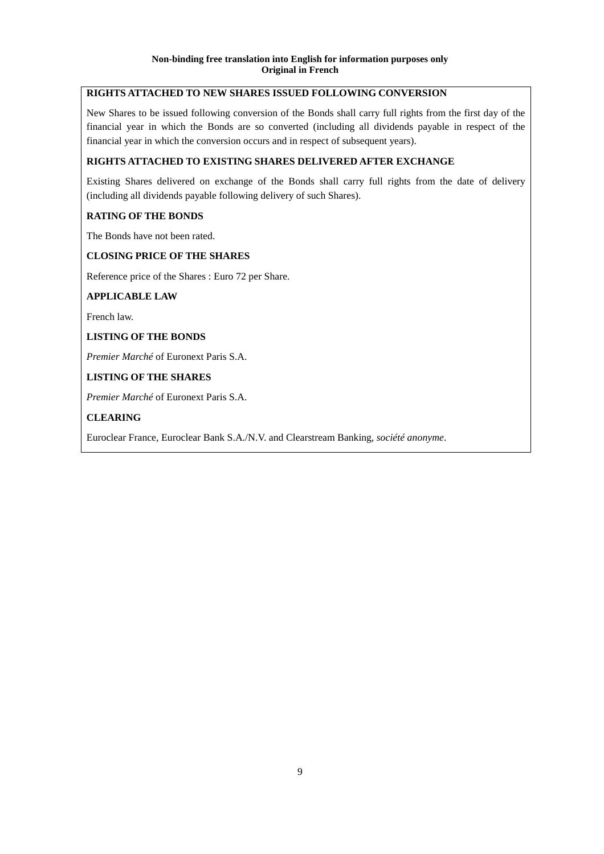# **RIGHTS ATTACHED TO NEW SHARES ISSUED FOLLOWING CONVERSION**

New Shares to be issued following conversion of the Bonds shall carry full rights from the first day of the financial year in which the Bonds are so converted (including all dividends payable in respect of the financial year in which the conversion occurs and in respect of subsequent years).

# **RIGHTS ATTACHED TO EXISTING SHARES DELIVERED AFTER EXCHANGE**

Existing Shares delivered on exchange of the Bonds shall carry full rights from the date of delivery (including all dividends payable following delivery of such Shares).

## **RATING OF THE BONDS**

The Bonds have not been rated.

## **CLOSING PRICE OF THE SHARES**

Reference price of the Shares : Euro 72 per Share.

## **APPLICABLE LAW**

French law.

## **LISTING OF THE BONDS**

*Premier Marché* of Euronext Paris S.A.

## **LISTING OF THE SHARES**

*Premier Marché* of Euronext Paris S.A.

## **CLEARING**

Euroclear France, Euroclear Bank S.A./N.V. and Clearstream Banking, *société anonyme*.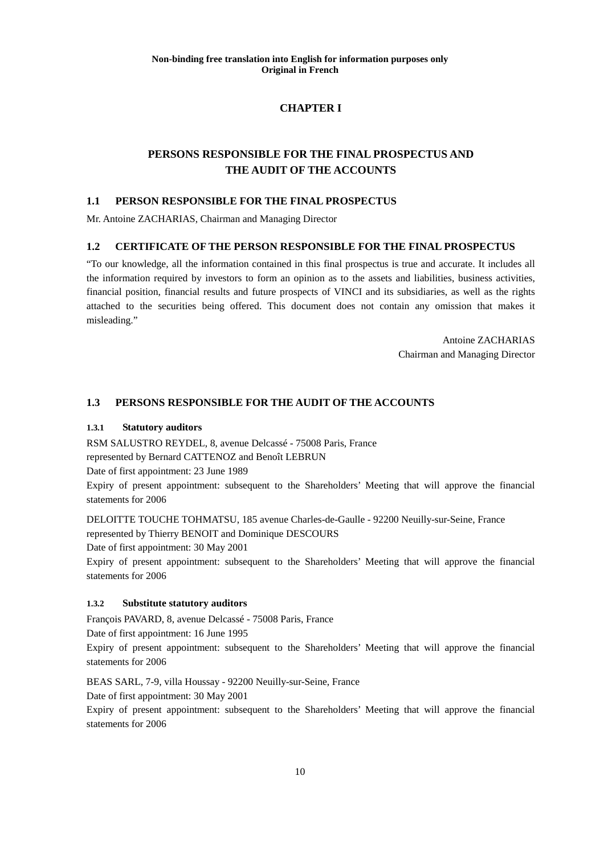# **CHAPTER I**

# **PERSONS RESPONSIBLE FOR THE FINAL PROSPECTUS AND THE AUDIT OF THE ACCOUNTS**

## **1.1 PERSON RESPONSIBLE FOR THE FINAL PROSPECTUS**

Mr. Antoine ZACHARIAS, Chairman and Managing Director

## **1.2 CERTIFICATE OF THE PERSON RESPONSIBLE FOR THE FINAL PROSPECTUS**

"To our knowledge, all the information contained in this final prospectus is true and accurate. It includes all the information required by investors to form an opinion as to the assets and liabilities, business activities, financial position, financial results and future prospects of VINCI and its subsidiaries, as well as the rights attached to the securities being offered. This document does not contain any omission that makes it misleading."

> Antoine ZACHARIAS Chairman and Managing Director

## **1.3 PERSONS RESPONSIBLE FOR THE AUDIT OF THE ACCOUNTS**

## **1.3.1 Statutory auditors**

RSM SALUSTRO REYDEL, 8, avenue Delcassé - 75008 Paris, France

represented by Bernard CATTENOZ and Benoît LEBRUN

Date of first appointment: 23 June 1989

Expiry of present appointment: subsequent to the Shareholders' Meeting that will approve the financial statements for 2006

DELOITTE TOUCHE TOHMATSU, 185 avenue Charles-de-Gaulle - 92200 Neuilly-sur-Seine, France represented by Thierry BENOIT and Dominique DESCOURS

Date of first appointment: 30 May 2001

Expiry of present appointment: subsequent to the Shareholders' Meeting that will approve the financial statements for 2006

## **1.3.2 Substitute statutory auditors**

François PAVARD, 8, avenue Delcassé - 75008 Paris, France

Date of first appointment: 16 June 1995

Expiry of present appointment: subsequent to the Shareholders' Meeting that will approve the financial statements for 2006

BEAS SARL, 7-9, villa Houssay - 92200 Neuilly-sur-Seine, France

Date of first appointment: 30 May 2001

Expiry of present appointment: subsequent to the Shareholders' Meeting that will approve the financial statements for 2006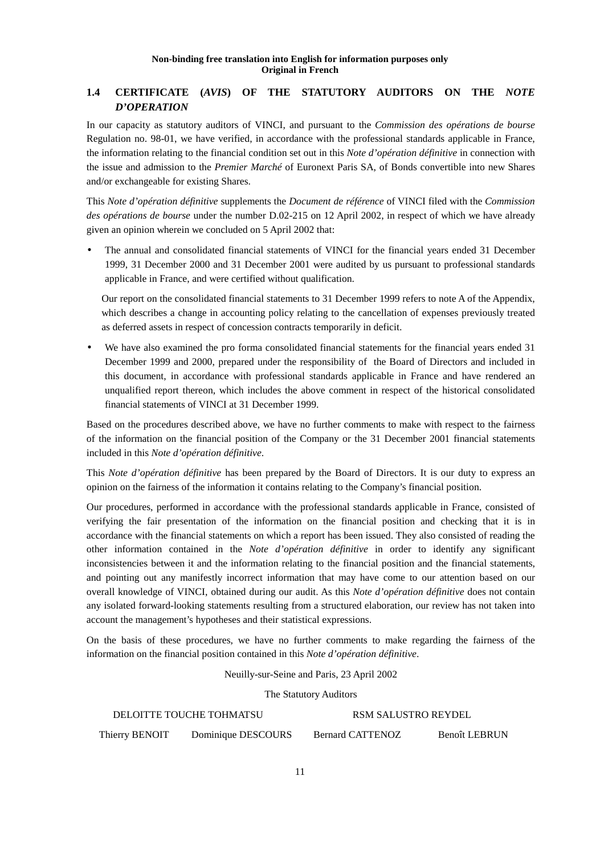# **1.4 CERTIFICATE (***AVIS***) OF THE STATUTORY AUDITORS ON THE** *NOTE D'OPERATION*

In our capacity as statutory auditors of VINCI, and pursuant to the *Commission des opérations de bourse* Regulation no. 98-01, we have verified, in accordance with the professional standards applicable in France, the information relating to the financial condition set out in this *Note d'opération définitive* in connection with the issue and admission to the *Premier Marché* of Euronext Paris SA, of Bonds convertible into new Shares and/or exchangeable for existing Shares.

This *Note d'opération définitive* supplements the *Document de référence* of VINCI filed with the *Commission des opérations de bourse* under the number D.02-215 on 12 April 2002, in respect of which we have already given an opinion wherein we concluded on 5 April 2002 that:

• The annual and consolidated financial statements of VINCI for the financial years ended 31 December 1999, 31 December 2000 and 31 December 2001 were audited by us pursuant to professional standards applicable in France, and were certified without qualification.

Our report on the consolidated financial statements to 31 December 1999 refers to note A of the Appendix, which describes a change in accounting policy relating to the cancellation of expenses previously treated as deferred assets in respect of concession contracts temporarily in deficit.

• We have also examined the pro forma consolidated financial statements for the financial years ended 31 December 1999 and 2000, prepared under the responsibility of the Board of Directors and included in this document, in accordance with professional standards applicable in France and have rendered an unqualified report thereon, which includes the above comment in respect of the historical consolidated financial statements of VINCI at 31 December 1999.

Based on the procedures described above, we have no further comments to make with respect to the fairness of the information on the financial position of the Company or the 31 December 2001 financial statements included in this *Note d'opération définitive*.

This *Note d'opération définitive* has been prepared by the Board of Directors. It is our duty to express an opinion on the fairness of the information it contains relating to the Company's financial position.

Our procedures, performed in accordance with the professional standards applicable in France, consisted of verifying the fair presentation of the information on the financial position and checking that it is in accordance with the financial statements on which a report has been issued. They also consisted of reading the other information contained in the *Note d'opération définitive* in order to identify any significant inconsistencies between it and the information relating to the financial position and the financial statements, and pointing out any manifestly incorrect information that may have come to our attention based on our overall knowledge of VINCI, obtained during our audit. As this *Note d'opération définitive* does not contain any isolated forward-looking statements resulting from a structured elaboration, our review has not taken into account the management's hypotheses and their statistical expressions.

On the basis of these procedures, we have no further comments to make regarding the fairness of the information on the financial position contained in this *Note d'opération définitive*.

Neuilly-sur-Seine and Paris, 23 April 2002

The Statutory Auditors

|                | DELOITTE TOUCHE TOHMATSU | RSM SALUSTRO REYDEL     |               |
|----------------|--------------------------|-------------------------|---------------|
| Thierry BENOIT | Dominique DESCOURS       | <b>Bernard CATTENOZ</b> | Benoît LEBRUN |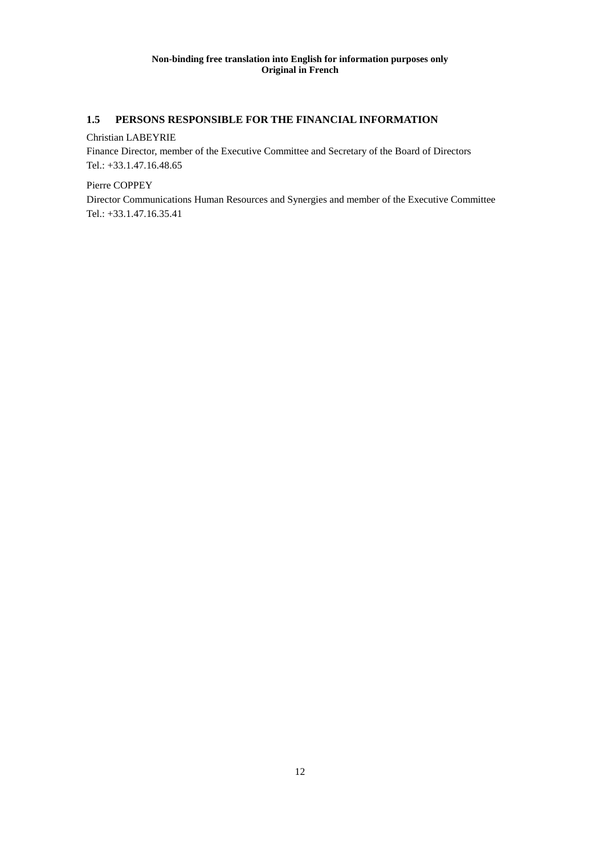# **1.5 PERSONS RESPONSIBLE FOR THE FINANCIAL INFORMATION**

## Christian LABEYRIE

Finance Director, member of the Executive Committee and Secretary of the Board of Directors Tel.: +33.1.47.16.48.65

Pierre COPPEY

Director Communications Human Resources and Synergies and member of the Executive Committee Tel.: +33.1.47.16.35.41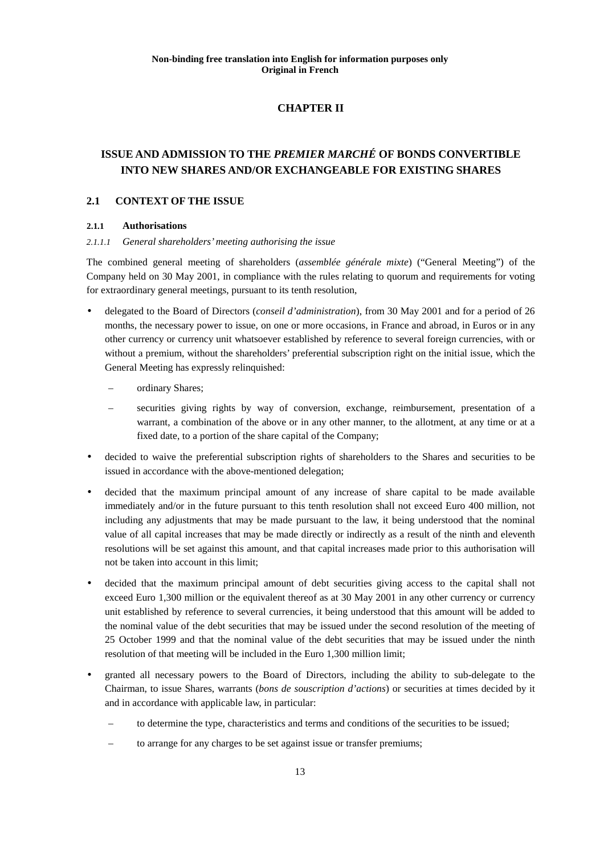# **CHAPTER II**

# **ISSUE AND ADMISSION TO THE** *PREMIER MARCHÉ* **OF BONDS CONVERTIBLE INTO NEW SHARES AND/OR EXCHANGEABLE FOR EXISTING SHARES**

## **2.1 CONTEXT OF THE ISSUE**

## **2.1.1 Authorisations**

## *2.1.1.1 General shareholders' meeting authorising the issue*

The combined general meeting of shareholders (*assemblée générale mixte*) ("General Meeting") of the Company held on 30 May 2001, in compliance with the rules relating to quorum and requirements for voting for extraordinary general meetings, pursuant to its tenth resolution,

- delegated to the Board of Directors (*conseil d'administration*), from 30 May 2001 and for a period of 26 months, the necessary power to issue, on one or more occasions, in France and abroad, in Euros or in any other currency or currency unit whatsoever established by reference to several foreign currencies, with or without a premium, without the shareholders' preferential subscription right on the initial issue, which the General Meeting has expressly relinquished:
	- ordinary Shares;
	- securities giving rights by way of conversion, exchange, reimbursement, presentation of a warrant, a combination of the above or in any other manner, to the allotment, at any time or at a fixed date, to a portion of the share capital of the Company;
- decided to waive the preferential subscription rights of shareholders to the Shares and securities to be issued in accordance with the above-mentioned delegation;
- decided that the maximum principal amount of any increase of share capital to be made available immediately and/or in the future pursuant to this tenth resolution shall not exceed Euro 400 million, not including any adjustments that may be made pursuant to the law, it being understood that the nominal value of all capital increases that may be made directly or indirectly as a result of the ninth and eleventh resolutions will be set against this amount, and that capital increases made prior to this authorisation will not be taken into account in this limit;
- decided that the maximum principal amount of debt securities giving access to the capital shall not exceed Euro 1,300 million or the equivalent thereof as at 30 May 2001 in any other currency or currency unit established by reference to several currencies, it being understood that this amount will be added to the nominal value of the debt securities that may be issued under the second resolution of the meeting of 25 October 1999 and that the nominal value of the debt securities that may be issued under the ninth resolution of that meeting will be included in the Euro 1,300 million limit;
- granted all necessary powers to the Board of Directors, including the ability to sub-delegate to the Chairman, to issue Shares, warrants (*bons de souscription d'actions*) or securities at times decided by it and in accordance with applicable law, in particular:
	- to determine the type, characteristics and terms and conditions of the securities to be issued;
	- to arrange for any charges to be set against issue or transfer premiums;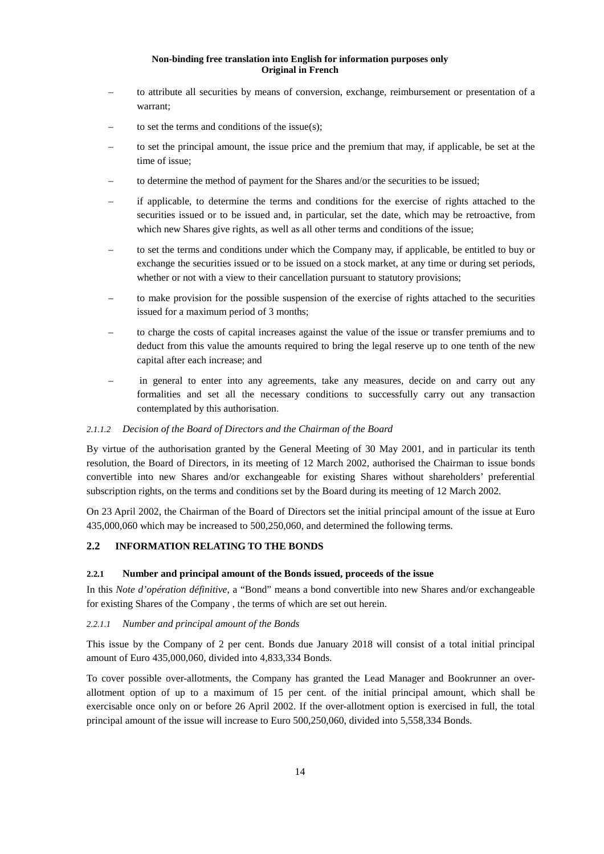- to attribute all securities by means of conversion, exchange, reimbursement or presentation of a warrant;
- to set the terms and conditions of the issue $(s)$ ;
- to set the principal amount, the issue price and the premium that may, if applicable, be set at the time of issue;
- to determine the method of payment for the Shares and/or the securities to be issued;
- if applicable, to determine the terms and conditions for the exercise of rights attached to the securities issued or to be issued and, in particular, set the date, which may be retroactive, from which new Shares give rights, as well as all other terms and conditions of the issue;
- to set the terms and conditions under which the Company may, if applicable, be entitled to buy or exchange the securities issued or to be issued on a stock market, at any time or during set periods, whether or not with a view to their cancellation pursuant to statutory provisions;
- to make provision for the possible suspension of the exercise of rights attached to the securities issued for a maximum period of 3 months;
- to charge the costs of capital increases against the value of the issue or transfer premiums and to deduct from this value the amounts required to bring the legal reserve up to one tenth of the new capital after each increase; and
- in general to enter into any agreements, take any measures, decide on and carry out any formalities and set all the necessary conditions to successfully carry out any transaction contemplated by this authorisation.

#### *2.1.1.2 Decision of the Board of Directors and the Chairman of the Board*

By virtue of the authorisation granted by the General Meeting of 30 May 2001, and in particular its tenth resolution, the Board of Directors, in its meeting of 12 March 2002, authorised the Chairman to issue bonds convertible into new Shares and/or exchangeable for existing Shares without shareholders' preferential subscription rights, on the terms and conditions set by the Board during its meeting of 12 March 2002.

On 23 April 2002, the Chairman of the Board of Directors set the initial principal amount of the issue at Euro 435,000,060 which may be increased to 500,250,060, and determined the following terms.

#### **2.2 INFORMATION RELATING TO THE BONDS**

#### **2.2.1 Number and principal amount of the Bonds issued, proceeds of the issue**

In this *Note d'opération définitive*, a "Bond" means a bond convertible into new Shares and/or exchangeable for existing Shares of the Company , the terms of which are set out herein.

#### *2.2.1.1 Number and principal amount of the Bonds*

This issue by the Company of 2 per cent. Bonds due January 2018 will consist of a total initial principal amount of Euro 435,000,060, divided into 4,833,334 Bonds.

To cover possible over-allotments, the Company has granted the Lead Manager and Bookrunner an overallotment option of up to a maximum of 15 per cent. of the initial principal amount, which shall be exercisable once only on or before 26 April 2002. If the over-allotment option is exercised in full, the total principal amount of the issue will increase to Euro 500,250,060, divided into 5,558,334 Bonds.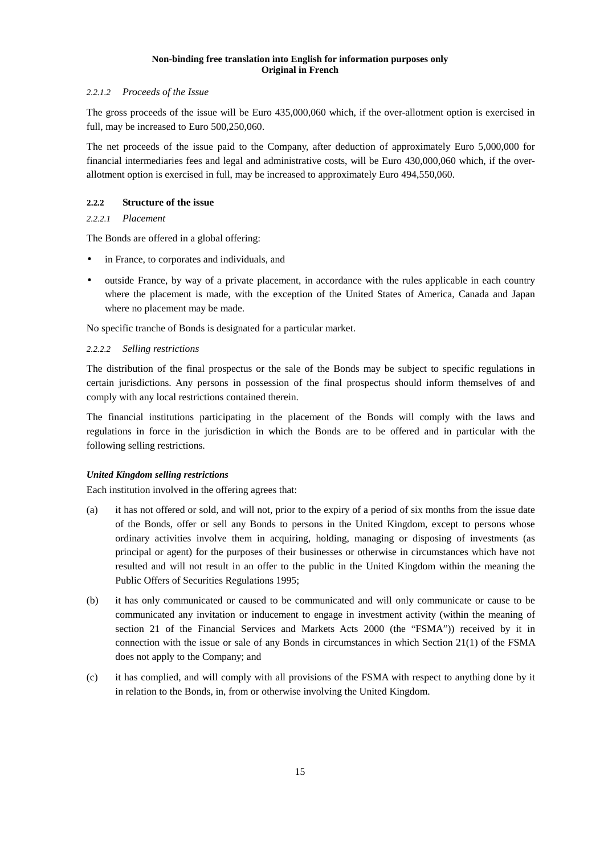## *2.2.1.2 Proceeds of the Issue*

The gross proceeds of the issue will be Euro 435,000,060 which, if the over-allotment option is exercised in full, may be increased to Euro 500,250,060.

The net proceeds of the issue paid to the Company, after deduction of approximately Euro 5,000,000 for financial intermediaries fees and legal and administrative costs, will be Euro 430,000,060 which, if the overallotment option is exercised in full, may be increased to approximately Euro 494,550,060.

## **2.2.2 Structure of the issue**

## *2.2.2.1 Placement*

The Bonds are offered in a global offering:

- in France, to corporates and individuals, and
- outside France, by way of a private placement, in accordance with the rules applicable in each country where the placement is made, with the exception of the United States of America, Canada and Japan where no placement may be made.

No specific tranche of Bonds is designated for a particular market.

## *2.2.2.2 Selling restrictions*

The distribution of the final prospectus or the sale of the Bonds may be subject to specific regulations in certain jurisdictions. Any persons in possession of the final prospectus should inform themselves of and comply with any local restrictions contained therein.

The financial institutions participating in the placement of the Bonds will comply with the laws and regulations in force in the jurisdiction in which the Bonds are to be offered and in particular with the following selling restrictions.

# *United Kingdom selling restrictions*

Each institution involved in the offering agrees that:

- (a) it has not offered or sold, and will not, prior to the expiry of a period of six months from the issue date of the Bonds, offer or sell any Bonds to persons in the United Kingdom, except to persons whose ordinary activities involve them in acquiring, holding, managing or disposing of investments (as principal or agent) for the purposes of their businesses or otherwise in circumstances which have not resulted and will not result in an offer to the public in the United Kingdom within the meaning the Public Offers of Securities Regulations 1995;
- (b) it has only communicated or caused to be communicated and will only communicate or cause to be communicated any invitation or inducement to engage in investment activity (within the meaning of section 21 of the Financial Services and Markets Acts 2000 (the "FSMA")) received by it in connection with the issue or sale of any Bonds in circumstances in which Section 21(1) of the FSMA does not apply to the Company; and
- (c) it has complied, and will comply with all provisions of the FSMA with respect to anything done by it in relation to the Bonds, in, from or otherwise involving the United Kingdom.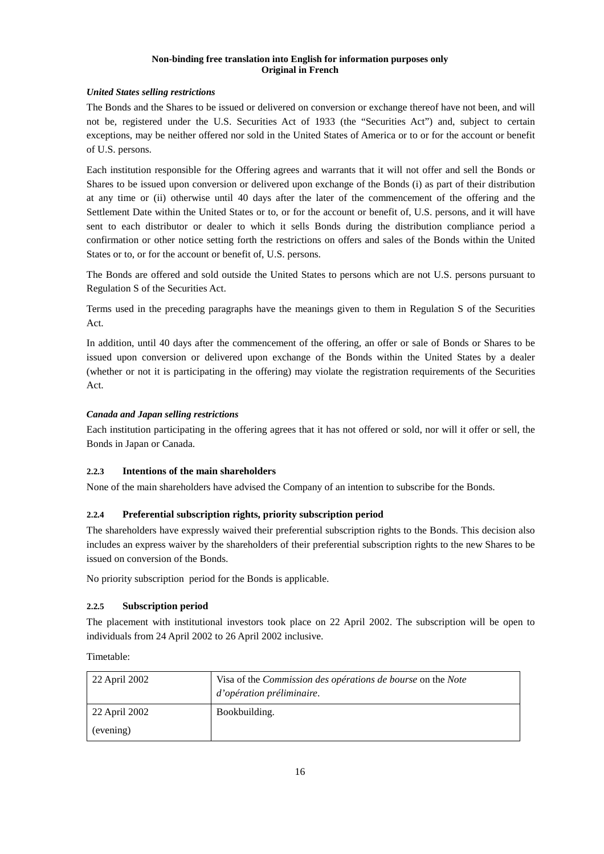## *United States selling restrictions*

The Bonds and the Shares to be issued or delivered on conversion or exchange thereof have not been, and will not be, registered under the U.S. Securities Act of 1933 (the "Securities Act") and, subject to certain exceptions, may be neither offered nor sold in the United States of America or to or for the account or benefit of U.S. persons.

Each institution responsible for the Offering agrees and warrants that it will not offer and sell the Bonds or Shares to be issued upon conversion or delivered upon exchange of the Bonds (i) as part of their distribution at any time or (ii) otherwise until 40 days after the later of the commencement of the offering and the Settlement Date within the United States or to, or for the account or benefit of, U.S. persons, and it will have sent to each distributor or dealer to which it sells Bonds during the distribution compliance period a confirmation or other notice setting forth the restrictions on offers and sales of the Bonds within the United States or to, or for the account or benefit of, U.S. persons.

The Bonds are offered and sold outside the United States to persons which are not U.S. persons pursuant to Regulation S of the Securities Act.

Terms used in the preceding paragraphs have the meanings given to them in Regulation S of the Securities Act.

In addition, until 40 days after the commencement of the offering, an offer or sale of Bonds or Shares to be issued upon conversion or delivered upon exchange of the Bonds within the United States by a dealer (whether or not it is participating in the offering) may violate the registration requirements of the Securities Act.

## *Canada and Japan selling restrictions*

Each institution participating in the offering agrees that it has not offered or sold, nor will it offer or sell, the Bonds in Japan or Canada.

## **2.2.3 Intentions of the main shareholders**

None of the main shareholders have advised the Company of an intention to subscribe for the Bonds.

## **2.2.4 Preferential subscription rights, priority subscription period**

The shareholders have expressly waived their preferential subscription rights to the Bonds. This decision also includes an express waiver by the shareholders of their preferential subscription rights to the new Shares to be issued on conversion of the Bonds.

No priority subscription period for the Bonds is applicable.

#### **2.2.5 Subscription period**

The placement with institutional investors took place on 22 April 2002. The subscription will be open to individuals from 24 April 2002 to 26 April 2002 inclusive.

Timetable:

| 22 April 2002 | Visa of the <i>Commission des opérations de bourse</i> on the <i>Note</i><br>d'opération préliminaire. |
|---------------|--------------------------------------------------------------------------------------------------------|
| 22 April 2002 | Bookbuilding.                                                                                          |
| (evening)     |                                                                                                        |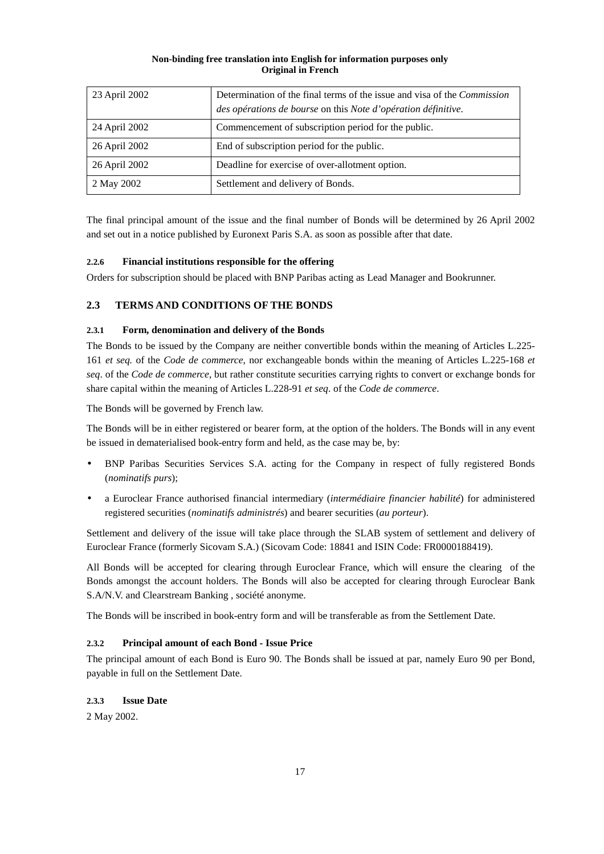| 23 April 2002 | Determination of the final terms of the issue and visa of the <i>Commission</i><br>des opérations de bourse on this Note d'opération définitive. |
|---------------|--------------------------------------------------------------------------------------------------------------------------------------------------|
| 24 April 2002 | Commencement of subscription period for the public.                                                                                              |
| 26 April 2002 | End of subscription period for the public.                                                                                                       |
| 26 April 2002 | Deadline for exercise of over-allotment option.                                                                                                  |
| 2 May 2002    | Settlement and delivery of Bonds.                                                                                                                |

The final principal amount of the issue and the final number of Bonds will be determined by 26 April 2002 and set out in a notice published by Euronext Paris S.A. as soon as possible after that date.

## **2.2.6 Financial institutions responsible for the offering**

Orders for subscription should be placed with BNP Paribas acting as Lead Manager and Bookrunner.

## **2.3 TERMS AND CONDITIONS OF THE BONDS**

## **2.3.1 Form, denomination and delivery of the Bonds**

The Bonds to be issued by the Company are neither convertible bonds within the meaning of Articles L.225- 161 *et seq.* of the *Code de commerce*, nor exchangeable bonds within the meaning of Articles L.225-168 *et seq*. of the *Code de commerce*, but rather constitute securities carrying rights to convert or exchange bonds for share capital within the meaning of Articles L.228-91 *et seq*. of the *Code de commerce*.

The Bonds will be governed by French law.

The Bonds will be in either registered or bearer form, at the option of the holders. The Bonds will in any event be issued in dematerialised book-entry form and held, as the case may be, by:

- BNP Paribas Securities Services S.A. acting for the Company in respect of fully registered Bonds (*nominatifs purs*);
- a Euroclear France authorised financial intermediary (*intermédiaire financier habilité*) for administered registered securities (*nominatifs administrés*) and bearer securities (*au porteur*).

Settlement and delivery of the issue will take place through the SLAB system of settlement and delivery of Euroclear France (formerly Sicovam S.A.) (Sicovam Code: 18841 and ISIN Code: FR0000188419).

All Bonds will be accepted for clearing through Euroclear France, which will ensure the clearing of the Bonds amongst the account holders. The Bonds will also be accepted for clearing through Euroclear Bank S.A/N.V. and Clearstream Banking , société anonyme.

The Bonds will be inscribed in book-entry form and will be transferable as from the Settlement Date.

## **2.3.2 Principal amount of each Bond - Issue Price**

The principal amount of each Bond is Euro 90. The Bonds shall be issued at par, namely Euro 90 per Bond, payable in full on the Settlement Date.

## **2.3.3 Issue Date**

2 May 2002.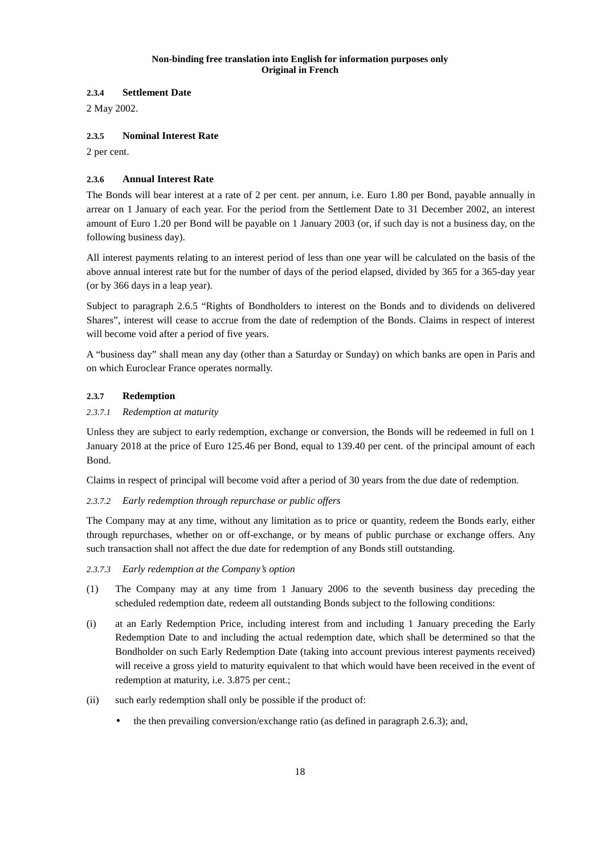## **2.3.4 Settlement Date**

2 May 2002.

## **2.3.5 Nominal Interest Rate**

2 per cent.

## **2.3.6 Annual Interest Rate**

The Bonds will bear interest at a rate of 2 per cent. per annum, i.e. Euro 1.80 per Bond, payable annually in arrear on 1 January of each year. For the period from the Settlement Date to 31 December 2002, an interest amount of Euro 1.20 per Bond will be payable on 1 January 2003 (or, if such day is not a business day, on the following business day).

All interest payments relating to an interest period of less than one year will be calculated on the basis of the above annual interest rate but for the number of days of the period elapsed, divided by 365 for a 365-day year (or by 366 days in a leap year).

Subject to paragraph 2.6.5 "Rights of Bondholders to interest on the Bonds and to dividends on delivered Shares", interest will cease to accrue from the date of redemption of the Bonds. Claims in respect of interest will become void after a period of five years.

A "business day" shall mean any day (other than a Saturday or Sunday) on which banks are open in Paris and on which Euroclear France operates normally.

## **2.3.7 Redemption**

## *2.3.7.1 Redemption at maturity*

Unless they are subject to early redemption, exchange or conversion, the Bonds will be redeemed in full on 1 January 2018 at the price of Euro 125.46 per Bond, equal to 139.40 per cent. of the principal amount of each Bond.

Claims in respect of principal will become void after a period of 30 years from the due date of redemption.

# *2.3.7.2 Early redemption through repurchase or public offers*

The Company may at any time, without any limitation as to price or quantity, redeem the Bonds early, either through repurchases, whether on or off-exchange, or by means of public purchase or exchange offers. Any such transaction shall not affect the due date for redemption of any Bonds still outstanding.

*2.3.7.3 Early redemption at the Company's option* 

- (1) The Company may at any time from 1 January 2006 to the seventh business day preceding the scheduled redemption date, redeem all outstanding Bonds subject to the following conditions:
- (i) at an Early Redemption Price, including interest from and including 1 January preceding the Early Redemption Date to and including the actual redemption date, which shall be determined so that the Bondholder on such Early Redemption Date (taking into account previous interest payments received) will receive a gross yield to maturity equivalent to that which would have been received in the event of redemption at maturity, i.e. 3.875 per cent.;
- (ii) such early redemption shall only be possible if the product of:
	- the then prevailing conversion/exchange ratio (as defined in paragraph 2.6.3); and,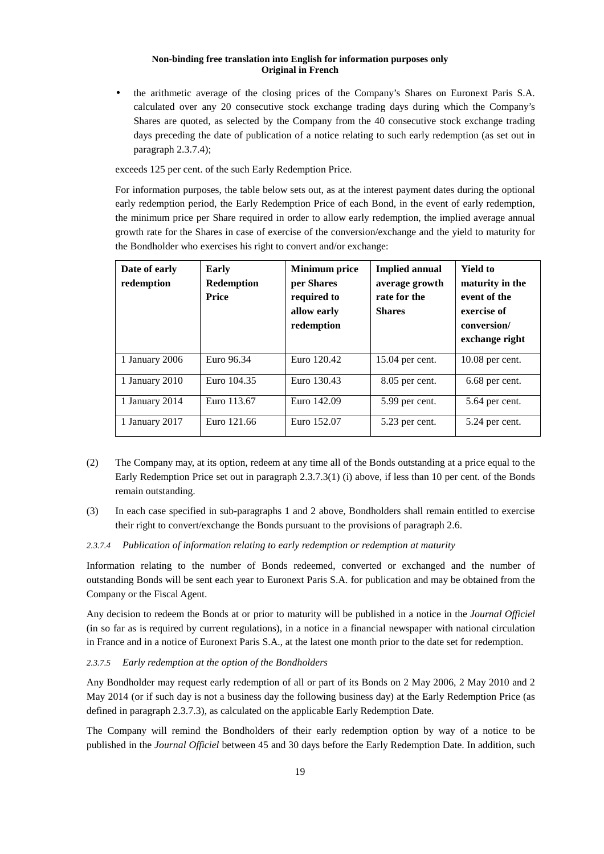• the arithmetic average of the closing prices of the Company's Shares on Euronext Paris S.A. calculated over any 20 consecutive stock exchange trading days during which the Company's Shares are quoted, as selected by the Company from the 40 consecutive stock exchange trading days preceding the date of publication of a notice relating to such early redemption (as set out in paragraph 2.3.7.4);

exceeds 125 per cent. of the such Early Redemption Price.

For information purposes, the table below sets out, as at the interest payment dates during the optional early redemption period, the Early Redemption Price of each Bond, in the event of early redemption, the minimum price per Share required in order to allow early redemption, the implied average annual growth rate for the Shares in case of exercise of the conversion/exchange and the yield to maturity for the Bondholder who exercises his right to convert and/or exchange:

| Date of early<br>redemption | Early<br><b>Redemption</b><br><b>Price</b> | <b>Minimum</b> price<br>per Shares<br>required to<br>allow early<br>redemption | <b>Implied annual</b><br>average growth<br>rate for the<br><b>Shares</b> | <b>Yield to</b><br>maturity in the<br>event of the<br>exercise of<br>conversion/<br>exchange right |
|-----------------------------|--------------------------------------------|--------------------------------------------------------------------------------|--------------------------------------------------------------------------|----------------------------------------------------------------------------------------------------|
| 1 January 2006              | Euro 96.34                                 | Euro 120.42                                                                    | 15.04 per cent.                                                          | $10.08$ per cent.                                                                                  |
| 1 January 2010              | Euro 104.35                                | Euro 130.43                                                                    | $8.05$ per cent.                                                         | 6.68 per cent.                                                                                     |
| 1 January 2014              | Euro 113.67                                | Euro 142.09                                                                    | 5.99 per cent.                                                           | 5.64 per cent.                                                                                     |
| 1 January 2017              | Euro 121.66                                | Euro 152.07                                                                    | 5.23 per cent.                                                           | 5.24 per cent.                                                                                     |

- (2) The Company may, at its option, redeem at any time all of the Bonds outstanding at a price equal to the Early Redemption Price set out in paragraph 2.3.7.3(1) (i) above, if less than 10 per cent. of the Bonds remain outstanding.
- (3) In each case specified in sub-paragraphs 1 and 2 above, Bondholders shall remain entitled to exercise their right to convert/exchange the Bonds pursuant to the provisions of paragraph 2.6.

#### *2.3.7.4 Publication of information relating to early redemption or redemption at maturity*

Information relating to the number of Bonds redeemed, converted or exchanged and the number of outstanding Bonds will be sent each year to Euronext Paris S.A. for publication and may be obtained from the Company or the Fiscal Agent.

Any decision to redeem the Bonds at or prior to maturity will be published in a notice in the *Journal Officiel* (in so far as is required by current regulations), in a notice in a financial newspaper with national circulation in France and in a notice of Euronext Paris S.A., at the latest one month prior to the date set for redemption.

#### *2.3.7.5 Early redemption at the option of the Bondholders*

Any Bondholder may request early redemption of all or part of its Bonds on 2 May 2006, 2 May 2010 and 2 May 2014 (or if such day is not a business day the following business day) at the Early Redemption Price (as defined in paragraph 2.3.7.3), as calculated on the applicable Early Redemption Date.

The Company will remind the Bondholders of their early redemption option by way of a notice to be published in the *Journal Officiel* between 45 and 30 days before the Early Redemption Date. In addition, such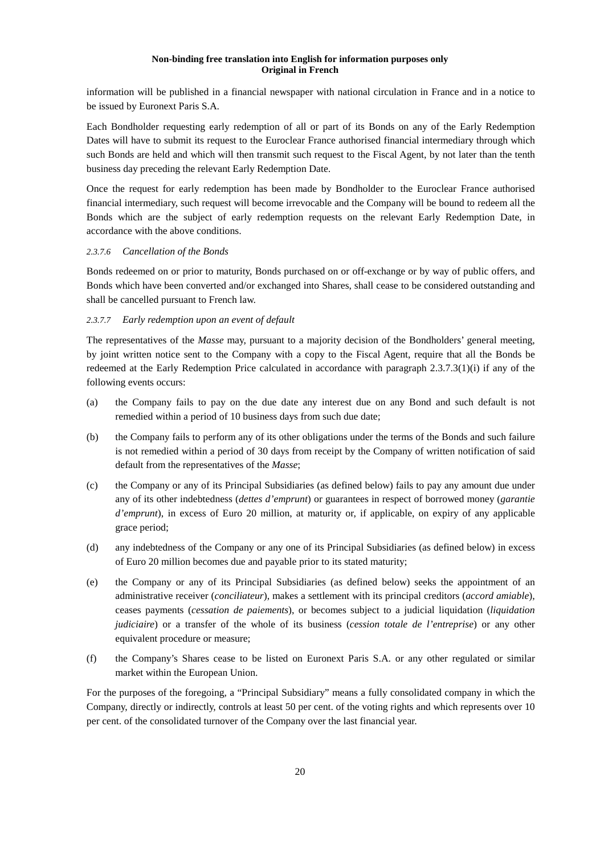information will be published in a financial newspaper with national circulation in France and in a notice to be issued by Euronext Paris S.A.

Each Bondholder requesting early redemption of all or part of its Bonds on any of the Early Redemption Dates will have to submit its request to the Euroclear France authorised financial intermediary through which such Bonds are held and which will then transmit such request to the Fiscal Agent, by not later than the tenth business day preceding the relevant Early Redemption Date.

Once the request for early redemption has been made by Bondholder to the Euroclear France authorised financial intermediary, such request will become irrevocable and the Company will be bound to redeem all the Bonds which are the subject of early redemption requests on the relevant Early Redemption Date, in accordance with the above conditions.

## *2.3.7.6 Cancellation of the Bonds*

Bonds redeemed on or prior to maturity, Bonds purchased on or off-exchange or by way of public offers, and Bonds which have been converted and/or exchanged into Shares, shall cease to be considered outstanding and shall be cancelled pursuant to French law.

## *2.3.7.7 Early redemption upon an event of default*

The representatives of the *Masse* may, pursuant to a majority decision of the Bondholders' general meeting, by joint written notice sent to the Company with a copy to the Fiscal Agent, require that all the Bonds be redeemed at the Early Redemption Price calculated in accordance with paragraph 2.3.7.3(1)(i) if any of the following events occurs:

- (a) the Company fails to pay on the due date any interest due on any Bond and such default is not remedied within a period of 10 business days from such due date;
- (b) the Company fails to perform any of its other obligations under the terms of the Bonds and such failure is not remedied within a period of 30 days from receipt by the Company of written notification of said default from the representatives of the *Masse*;
- (c) the Company or any of its Principal Subsidiaries (as defined below) fails to pay any amount due under any of its other indebtedness (*dettes d'emprunt*) or guarantees in respect of borrowed money (*garantie d'emprunt*), in excess of Euro 20 million, at maturity or, if applicable, on expiry of any applicable grace period;
- (d) any indebtedness of the Company or any one of its Principal Subsidiaries (as defined below) in excess of Euro 20 million becomes due and payable prior to its stated maturity;
- (e) the Company or any of its Principal Subsidiaries (as defined below) seeks the appointment of an administrative receiver (*conciliateur*), makes a settlement with its principal creditors (*accord amiable*), ceases payments (*cessation de paiements*), or becomes subject to a judicial liquidation (*liquidation judiciaire*) or a transfer of the whole of its business (*cession totale de l'entreprise*) or any other equivalent procedure or measure;
- (f) the Company's Shares cease to be listed on Euronext Paris S.A. or any other regulated or similar market within the European Union.

For the purposes of the foregoing, a "Principal Subsidiary" means a fully consolidated company in which the Company, directly or indirectly, controls at least 50 per cent. of the voting rights and which represents over 10 per cent. of the consolidated turnover of the Company over the last financial year.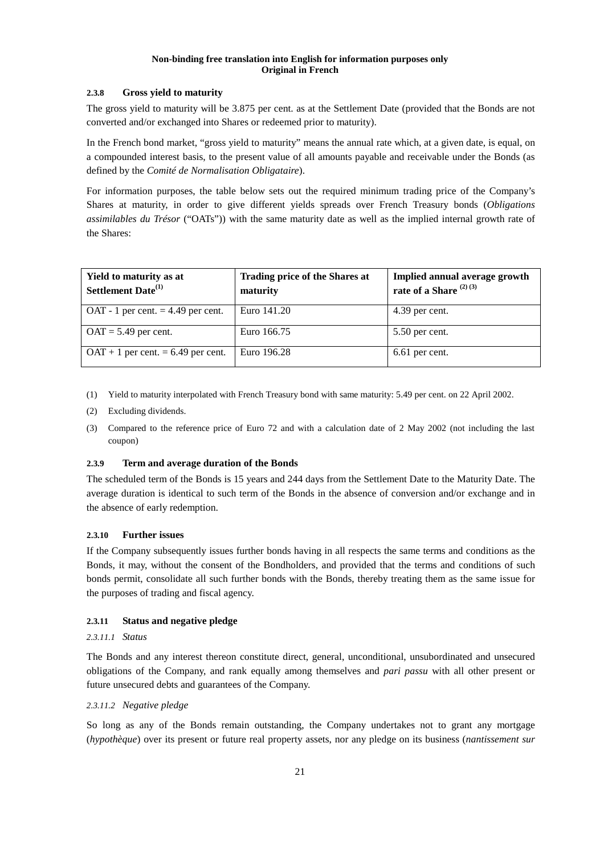## **2.3.8 Gross yield to maturity**

The gross yield to maturity will be 3.875 per cent. as at the Settlement Date (provided that the Bonds are not converted and/or exchanged into Shares or redeemed prior to maturity).

In the French bond market, "gross yield to maturity" means the annual rate which, at a given date, is equal, on a compounded interest basis, to the present value of all amounts payable and receivable under the Bonds (as defined by the *Comité de Normalisation Obligataire*).

For information purposes, the table below sets out the required minimum trading price of the Company's Shares at maturity, in order to give different yields spreads over French Treasury bonds (*Obligations assimilables du Trésor* ("OATs")) with the same maturity date as well as the implied internal growth rate of the Shares:

| Yield to maturity as at<br>Settlement Date <sup>(1)</sup> | Trading price of the Shares at<br>maturity | Implied annual average growth<br>rate of a Share $(2)$ (3) |
|-----------------------------------------------------------|--------------------------------------------|------------------------------------------------------------|
| OAT - 1 per cent. $=$ 4.49 per cent.                      | Euro 141.20                                | 4.39 per cent.                                             |
| $OAT = 5.49$ per cent.                                    | Euro 166.75                                | 5.50 per cent.                                             |
| $OAT + 1$ per cent. = 6.49 per cent.                      | Euro 196.28                                | 6.61 per cent.                                             |

- (1) Yield to maturity interpolated with French Treasury bond with same maturity: 5.49 per cent. on 22 April 2002.
- (2) Excluding dividends.
- (3) Compared to the reference price of Euro 72 and with a calculation date of 2 May 2002 (not including the last coupon)

#### **2.3.9 Term and average duration of the Bonds**

The scheduled term of the Bonds is 15 years and 244 days from the Settlement Date to the Maturity Date. The average duration is identical to such term of the Bonds in the absence of conversion and/or exchange and in the absence of early redemption.

#### **2.3.10 Further issues**

If the Company subsequently issues further bonds having in all respects the same terms and conditions as the Bonds, it may, without the consent of the Bondholders, and provided that the terms and conditions of such bonds permit, consolidate all such further bonds with the Bonds, thereby treating them as the same issue for the purposes of trading and fiscal agency.

#### **2.3.11 Status and negative pledge**

#### *2.3.11.1 Status*

The Bonds and any interest thereon constitute direct, general, unconditional, unsubordinated and unsecured obligations of the Company, and rank equally among themselves and *pari passu* with all other present or future unsecured debts and guarantees of the Company.

#### *2.3.11.2 Negative pledge*

So long as any of the Bonds remain outstanding, the Company undertakes not to grant any mortgage (*hypothèque*) over its present or future real property assets, nor any pledge on its business (*nantissement sur*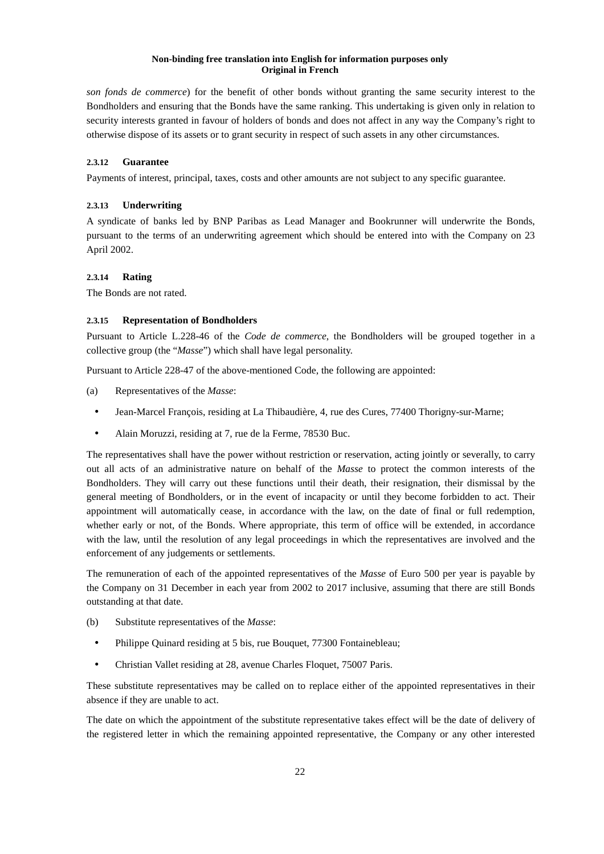*son fonds de commerce*) for the benefit of other bonds without granting the same security interest to the Bondholders and ensuring that the Bonds have the same ranking. This undertaking is given only in relation to security interests granted in favour of holders of bonds and does not affect in any way the Company's right to otherwise dispose of its assets or to grant security in respect of such assets in any other circumstances.

## **2.3.12 Guarantee**

Payments of interest, principal, taxes, costs and other amounts are not subject to any specific guarantee.

## **2.3.13 Underwriting**

A syndicate of banks led by BNP Paribas as Lead Manager and Bookrunner will underwrite the Bonds, pursuant to the terms of an underwriting agreement which should be entered into with the Company on 23 April 2002.

## **2.3.14 Rating**

The Bonds are not rated.

## **2.3.15 Representation of Bondholders**

Pursuant to Article L.228-46 of the *Code de commerce*, the Bondholders will be grouped together in a collective group (the "*Masse*") which shall have legal personality.

Pursuant to Article 228-47 of the above-mentioned Code, the following are appointed:

- (a) Representatives of the *Masse*:
- Jean-Marcel François, residing at La Thibaudière, 4, rue des Cures, 77400 Thorigny-sur-Marne;
- Alain Moruzzi, residing at 7, rue de la Ferme, 78530 Buc.

The representatives shall have the power without restriction or reservation, acting jointly or severally, to carry out all acts of an administrative nature on behalf of the *Masse* to protect the common interests of the Bondholders. They will carry out these functions until their death, their resignation, their dismissal by the general meeting of Bondholders, or in the event of incapacity or until they become forbidden to act. Their appointment will automatically cease, in accordance with the law, on the date of final or full redemption, whether early or not, of the Bonds. Where appropriate, this term of office will be extended, in accordance with the law, until the resolution of any legal proceedings in which the representatives are involved and the enforcement of any judgements or settlements.

The remuneration of each of the appointed representatives of the *Masse* of Euro 500 per year is payable by the Company on 31 December in each year from 2002 to 2017 inclusive, assuming that there are still Bonds outstanding at that date.

- (b) Substitute representatives of the *Masse*:
- Philippe Quinard residing at 5 bis, rue Bouquet, 77300 Fontainebleau;
- Christian Vallet residing at 28, avenue Charles Floquet, 75007 Paris.

These substitute representatives may be called on to replace either of the appointed representatives in their absence if they are unable to act.

The date on which the appointment of the substitute representative takes effect will be the date of delivery of the registered letter in which the remaining appointed representative, the Company or any other interested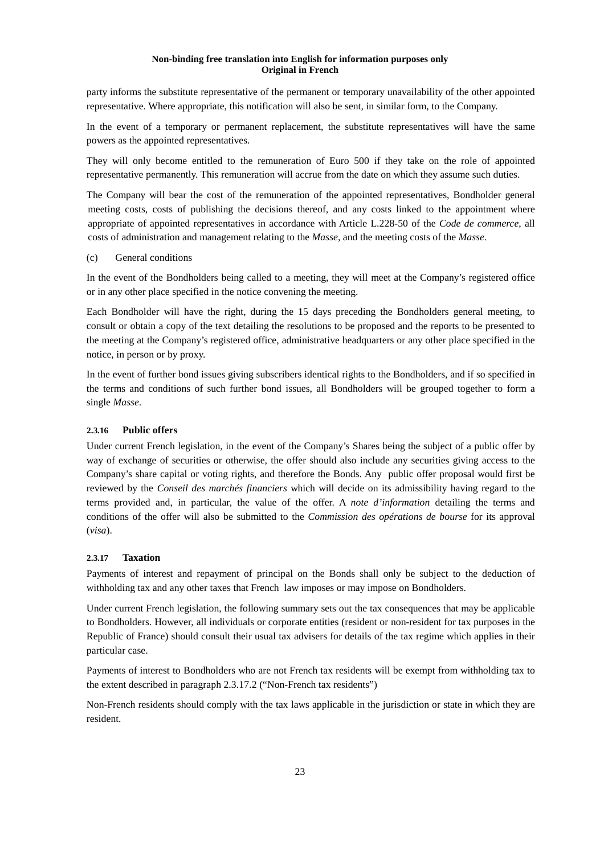party informs the substitute representative of the permanent or temporary unavailability of the other appointed representative. Where appropriate, this notification will also be sent, in similar form, to the Company.

In the event of a temporary or permanent replacement, the substitute representatives will have the same powers as the appointed representatives.

They will only become entitled to the remuneration of Euro 500 if they take on the role of appointed representative permanently. This remuneration will accrue from the date on which they assume such duties.

The Company will bear the cost of the remuneration of the appointed representatives, Bondholder general meeting costs, costs of publishing the decisions thereof, and any costs linked to the appointment where appropriate of appointed representatives in accordance with Article L.228-50 of the *Code de commerce*, all costs of administration and management relating to the *Masse*, and the meeting costs of the *Masse*.

#### (c) General conditions

In the event of the Bondholders being called to a meeting, they will meet at the Company's registered office or in any other place specified in the notice convening the meeting.

Each Bondholder will have the right, during the 15 days preceding the Bondholders general meeting, to consult or obtain a copy of the text detailing the resolutions to be proposed and the reports to be presented to the meeting at the Company's registered office, administrative headquarters or any other place specified in the notice, in person or by proxy.

In the event of further bond issues giving subscribers identical rights to the Bondholders, and if so specified in the terms and conditions of such further bond issues, all Bondholders will be grouped together to form a single *Masse*.

## **2.3.16 Public offers**

Under current French legislation, in the event of the Company's Shares being the subject of a public offer by way of exchange of securities or otherwise, the offer should also include any securities giving access to the Company's share capital or voting rights, and therefore the Bonds. Any public offer proposal would first be reviewed by the *Conseil des marchés financiers* which will decide on its admissibility having regard to the terms provided and, in particular, the value of the offer. A *note d'information* detailing the terms and conditions of the offer will also be submitted to the *Commission des opérations de bourse* for its approval (*visa*).

## **2.3.17 Taxation**

Payments of interest and repayment of principal on the Bonds shall only be subject to the deduction of withholding tax and any other taxes that French law imposes or may impose on Bondholders.

Under current French legislation, the following summary sets out the tax consequences that may be applicable to Bondholders. However, all individuals or corporate entities (resident or non-resident for tax purposes in the Republic of France) should consult their usual tax advisers for details of the tax regime which applies in their particular case.

Payments of interest to Bondholders who are not French tax residents will be exempt from withholding tax to the extent described in paragraph 2.3.17.2 ("Non-French tax residents")

Non-French residents should comply with the tax laws applicable in the jurisdiction or state in which they are resident.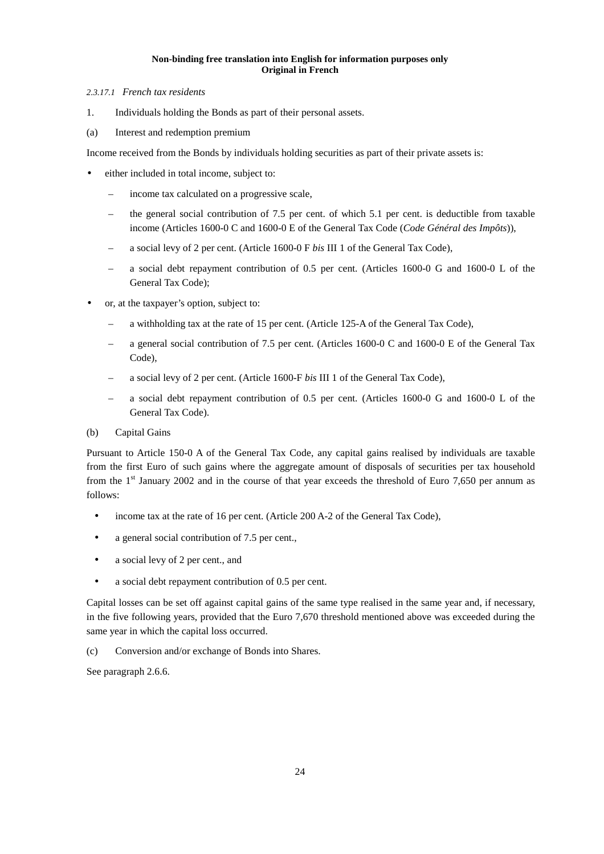#### *2.3.17.1 French tax residents*

- 1. Individuals holding the Bonds as part of their personal assets.
- (a) Interest and redemption premium

Income received from the Bonds by individuals holding securities as part of their private assets is:

- either included in total income, subject to:
	- income tax calculated on a progressive scale,
	- the general social contribution of 7.5 per cent. of which 5.1 per cent. is deductible from taxable income (Articles 1600-0 C and 1600-0 E of the General Tax Code (*Code Général des Impôts*)),
	- a social levy of 2 per cent. (Article 1600-0 F *bis* III 1 of the General Tax Code),
	- a social debt repayment contribution of 0.5 per cent. (Articles 1600-0 G and 1600-0 L of the General Tax Code);
- or, at the taxpayer's option, subject to:
	- a withholding tax at the rate of 15 per cent. (Article 125-A of the General Tax Code),
	- a general social contribution of 7.5 per cent. (Articles 1600-0 C and 1600-0 E of the General Tax Code),
	- a social levy of 2 per cent. (Article 1600-F *bis* III 1 of the General Tax Code),
	- a social debt repayment contribution of 0.5 per cent. (Articles 1600-0 G and 1600-0 L of the General Tax Code).

#### (b) Capital Gains

Pursuant to Article 150-0 A of the General Tax Code, any capital gains realised by individuals are taxable from the first Euro of such gains where the aggregate amount of disposals of securities per tax household from the  $1<sup>st</sup>$  January 2002 and in the course of that year exceeds the threshold of Euro 7,650 per annum as follows:

- income tax at the rate of 16 per cent. (Article 200 A-2 of the General Tax Code),
- a general social contribution of 7.5 per cent.,
- a social levy of 2 per cent., and
- a social debt repayment contribution of 0.5 per cent.

Capital losses can be set off against capital gains of the same type realised in the same year and, if necessary, in the five following years, provided that the Euro 7,670 threshold mentioned above was exceeded during the same year in which the capital loss occurred.

(c) Conversion and/or exchange of Bonds into Shares.

See paragraph 2.6.6.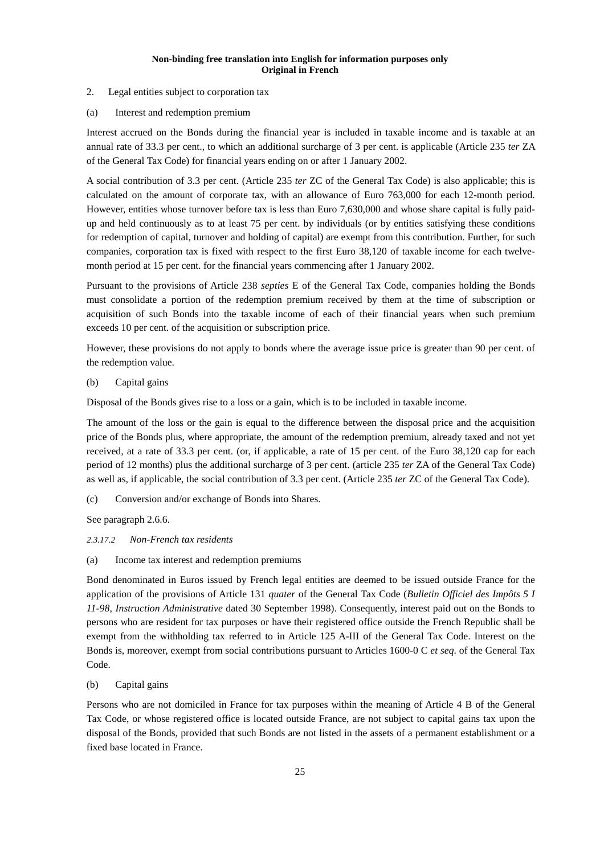- 2. Legal entities subject to corporation tax
- (a) Interest and redemption premium

Interest accrued on the Bonds during the financial year is included in taxable income and is taxable at an annual rate of 33.3 per cent., to which an additional surcharge of 3 per cent. is applicable (Article 235 *ter* ZA of the General Tax Code) for financial years ending on or after 1 January 2002.

A social contribution of 3.3 per cent. (Article 235 *ter* ZC of the General Tax Code) is also applicable; this is calculated on the amount of corporate tax, with an allowance of Euro 763,000 for each 12-month period. However, entities whose turnover before tax is less than Euro 7,630,000 and whose share capital is fully paidup and held continuously as to at least 75 per cent. by individuals (or by entities satisfying these conditions for redemption of capital, turnover and holding of capital) are exempt from this contribution. Further, for such companies, corporation tax is fixed with respect to the first Euro 38,120 of taxable income for each twelvemonth period at 15 per cent. for the financial years commencing after 1 January 2002.

Pursuant to the provisions of Article 238 *septies* E of the General Tax Code, companies holding the Bonds must consolidate a portion of the redemption premium received by them at the time of subscription or acquisition of such Bonds into the taxable income of each of their financial years when such premium exceeds 10 per cent. of the acquisition or subscription price.

However, these provisions do not apply to bonds where the average issue price is greater than 90 per cent. of the redemption value.

(b) Capital gains

Disposal of the Bonds gives rise to a loss or a gain, which is to be included in taxable income.

The amount of the loss or the gain is equal to the difference between the disposal price and the acquisition price of the Bonds plus, where appropriate, the amount of the redemption premium, already taxed and not yet received, at a rate of 33.3 per cent. (or, if applicable, a rate of 15 per cent. of the Euro 38,120 cap for each period of 12 months) plus the additional surcharge of 3 per cent. (article 235 *ter* ZA of the General Tax Code) as well as, if applicable, the social contribution of 3.3 per cent. (Article 235 *ter* ZC of the General Tax Code).

(c) Conversion and/or exchange of Bonds into Shares.

See paragraph 2.6.6.

## *2.3.17.2 Non-French tax residents*

(a) Income tax interest and redemption premiums

Bond denominated in Euros issued by French legal entities are deemed to be issued outside France for the application of the provisions of Article 131 *quater* of the General Tax Code (*Bulletin Officiel des Impôts 5 I 11-98, Instruction Administrative* dated 30 September 1998). Consequently, interest paid out on the Bonds to persons who are resident for tax purposes or have their registered office outside the French Republic shall be exempt from the withholding tax referred to in Article 125 A-III of the General Tax Code. Interest on the Bonds is, moreover, exempt from social contributions pursuant to Articles 1600-0 C *et seq*. of the General Tax Code.

#### (b) Capital gains

Persons who are not domiciled in France for tax purposes within the meaning of Article 4 B of the General Tax Code, or whose registered office is located outside France, are not subject to capital gains tax upon the disposal of the Bonds, provided that such Bonds are not listed in the assets of a permanent establishment or a fixed base located in France.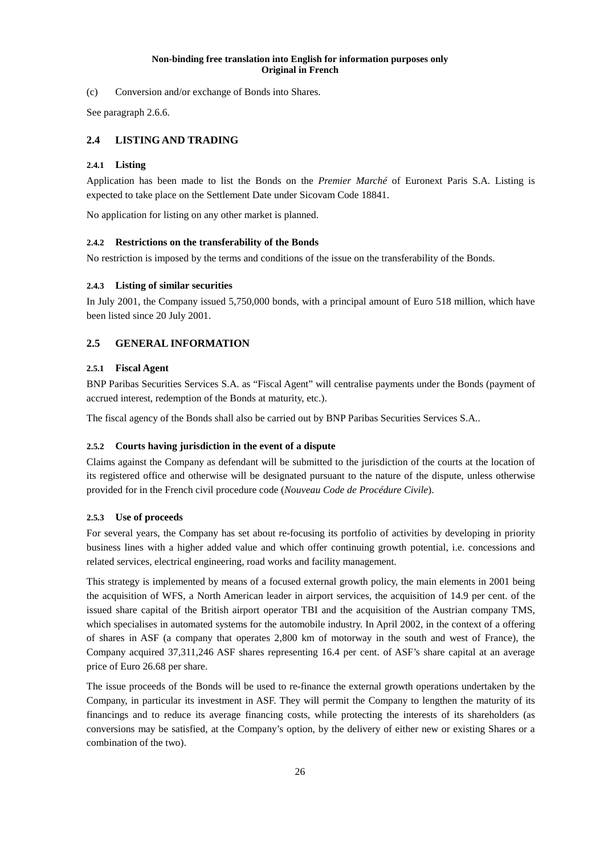(c) Conversion and/or exchange of Bonds into Shares.

See paragraph 2.6.6.

## **2.4 LISTING AND TRADING**

## **2.4.1 Listing**

Application has been made to list the Bonds on the *Premier Marché* of Euronext Paris S.A. Listing is expected to take place on the Settlement Date under Sicovam Code 18841.

No application for listing on any other market is planned.

## **2.4.2 Restrictions on the transferability of the Bonds**

No restriction is imposed by the terms and conditions of the issue on the transferability of the Bonds.

## **2.4.3 Listing of similar securities**

In July 2001, the Company issued 5,750,000 bonds, with a principal amount of Euro 518 million, which have been listed since 20 July 2001.

## **2.5 GENERAL INFORMATION**

## **2.5.1 Fiscal Agent**

BNP Paribas Securities Services S.A. as "Fiscal Agent" will centralise payments under the Bonds (payment of accrued interest, redemption of the Bonds at maturity, etc.).

The fiscal agency of the Bonds shall also be carried out by BNP Paribas Securities Services S.A..

## **2.5.2 Courts having jurisdiction in the event of a dispute**

Claims against the Company as defendant will be submitted to the jurisdiction of the courts at the location of its registered office and otherwise will be designated pursuant to the nature of the dispute, unless otherwise provided for in the French civil procedure code (*Nouveau Code de Procédure Civile*).

## **2.5.3 Use of proceeds**

For several years, the Company has set about re-focusing its portfolio of activities by developing in priority business lines with a higher added value and which offer continuing growth potential, i.e. concessions and related services, electrical engineering, road works and facility management.

This strategy is implemented by means of a focused external growth policy, the main elements in 2001 being the acquisition of WFS, a North American leader in airport services, the acquisition of 14.9 per cent. of the issued share capital of the British airport operator TBI and the acquisition of the Austrian company TMS, which specialises in automated systems for the automobile industry. In April 2002, in the context of a offering of shares in ASF (a company that operates 2,800 km of motorway in the south and west of France), the Company acquired 37,311,246 ASF shares representing 16.4 per cent. of ASF's share capital at an average price of Euro 26.68 per share.

The issue proceeds of the Bonds will be used to re-finance the external growth operations undertaken by the Company, in particular its investment in ASF. They will permit the Company to lengthen the maturity of its financings and to reduce its average financing costs, while protecting the interests of its shareholders (as conversions may be satisfied, at the Company's option, by the delivery of either new or existing Shares or a combination of the two).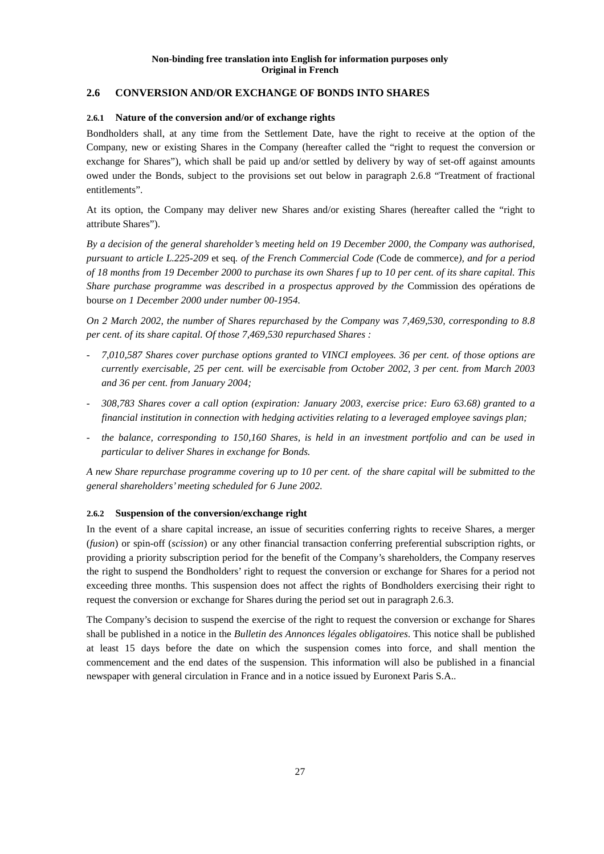## **2.6 CONVERSION AND/OR EXCHANGE OF BONDS INTO SHARES**

## **2.6.1 Nature of the conversion and/or of exchange rights**

Bondholders shall, at any time from the Settlement Date, have the right to receive at the option of the Company, new or existing Shares in the Company (hereafter called the "right to request the conversion or exchange for Shares"), which shall be paid up and/or settled by delivery by way of set-off against amounts owed under the Bonds, subject to the provisions set out below in paragraph 2.6.8 "Treatment of fractional entitlements".

At its option, the Company may deliver new Shares and/or existing Shares (hereafter called the "right to attribute Shares").

*By a decision of the general shareholder's meeting held on 19 December 2000, the Company was authorised, pursuant to article L.225-209* et seq*. of the French Commercial Code (*Code de commerce*), and for a period of 18 months from 19 December 2000 to purchase its own Shares f up to 10 per cent. of its share capital. This Share purchase programme was described in a prospectus approved by the* Commission des opérations de bourse *on 1 December 2000 under number 00-1954.* 

*On 2 March 2002, the number of Shares repurchased by the Company was 7,469,530, corresponding to 8.8 per cent. of its share capital. Of those 7,469,530 repurchased Shares :* 

- *7,010,587 Shares cover purchase options granted to VINCI employees. 36 per cent. of those options are currently exercisable, 25 per cent. will be exercisable from October 2002, 3 per cent. from March 2003 and 36 per cent. from January 2004;*
- *308,783 Shares cover a call option (expiration: January 2003, exercise price: Euro 63.68) granted to a financial institution in connection with hedging activities relating to a leveraged employee savings plan;*
- *the balance, corresponding to 150,160 Shares, is held in an investment portfolio and can be used in particular to deliver Shares in exchange for Bonds.*

*A new Share repurchase programme covering up to 10 per cent. of the share capital will be submitted to the general shareholders' meeting scheduled for 6 June 2002.* 

#### **2.6.2 Suspension of the conversion/exchange right**

In the event of a share capital increase, an issue of securities conferring rights to receive Shares, a merger (*fusion*) or spin-off (*scission*) or any other financial transaction conferring preferential subscription rights, or providing a priority subscription period for the benefit of the Company's shareholders, the Company reserves the right to suspend the Bondholders' right to request the conversion or exchange for Shares for a period not exceeding three months. This suspension does not affect the rights of Bondholders exercising their right to request the conversion or exchange for Shares during the period set out in paragraph 2.6.3.

The Company's decision to suspend the exercise of the right to request the conversion or exchange for Shares shall be published in a notice in the *Bulletin des Annonces légales obligatoires*. This notice shall be published at least 15 days before the date on which the suspension comes into force, and shall mention the commencement and the end dates of the suspension. This information will also be published in a financial newspaper with general circulation in France and in a notice issued by Euronext Paris S.A..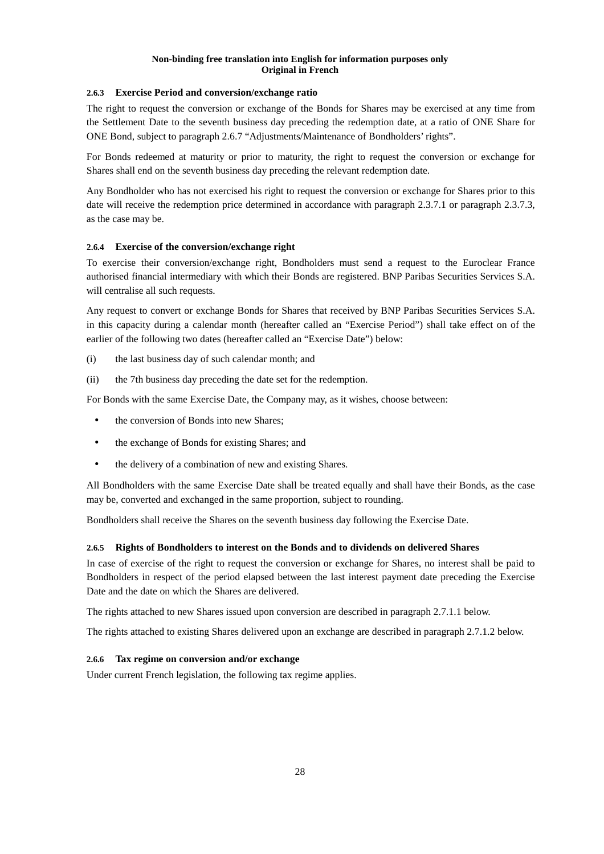## **2.6.3 Exercise Period and conversion/exchange ratio**

The right to request the conversion or exchange of the Bonds for Shares may be exercised at any time from the Settlement Date to the seventh business day preceding the redemption date, at a ratio of ONE Share for ONE Bond, subject to paragraph 2.6.7 "Adjustments/Maintenance of Bondholders' rights".

For Bonds redeemed at maturity or prior to maturity, the right to request the conversion or exchange for Shares shall end on the seventh business day preceding the relevant redemption date.

Any Bondholder who has not exercised his right to request the conversion or exchange for Shares prior to this date will receive the redemption price determined in accordance with paragraph 2.3.7.1 or paragraph 2.3.7.3, as the case may be.

## **2.6.4 Exercise of the conversion/exchange right**

To exercise their conversion/exchange right, Bondholders must send a request to the Euroclear France authorised financial intermediary with which their Bonds are registered. BNP Paribas Securities Services S.A. will centralise all such requests.

Any request to convert or exchange Bonds for Shares that received by BNP Paribas Securities Services S.A. in this capacity during a calendar month (hereafter called an "Exercise Period") shall take effect on of the earlier of the following two dates (hereafter called an "Exercise Date") below:

- (i) the last business day of such calendar month; and
- (ii) the 7th business day preceding the date set for the redemption.

For Bonds with the same Exercise Date, the Company may, as it wishes, choose between:

- the conversion of Bonds into new Shares;
- the exchange of Bonds for existing Shares; and
- the delivery of a combination of new and existing Shares.

All Bondholders with the same Exercise Date shall be treated equally and shall have their Bonds, as the case may be, converted and exchanged in the same proportion, subject to rounding.

Bondholders shall receive the Shares on the seventh business day following the Exercise Date.

#### **2.6.5 Rights of Bondholders to interest on the Bonds and to dividends on delivered Shares**

In case of exercise of the right to request the conversion or exchange for Shares, no interest shall be paid to Bondholders in respect of the period elapsed between the last interest payment date preceding the Exercise Date and the date on which the Shares are delivered.

The rights attached to new Shares issued upon conversion are described in paragraph 2.7.1.1 below.

The rights attached to existing Shares delivered upon an exchange are described in paragraph 2.7.1.2 below.

#### **2.6.6 Tax regime on conversion and/or exchange**

Under current French legislation, the following tax regime applies.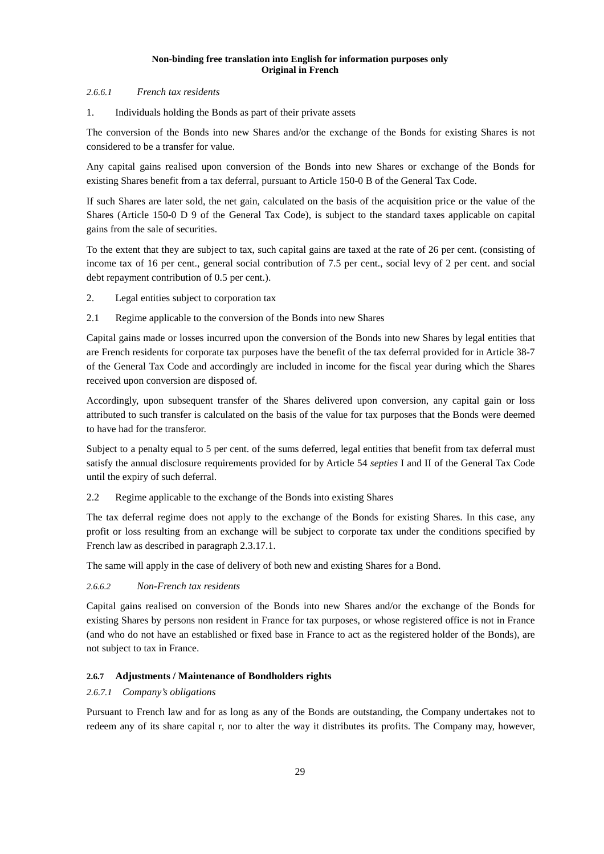#### *2.6.6.1 French tax residents*

1. Individuals holding the Bonds as part of their private assets

The conversion of the Bonds into new Shares and/or the exchange of the Bonds for existing Shares is not considered to be a transfer for value.

Any capital gains realised upon conversion of the Bonds into new Shares or exchange of the Bonds for existing Shares benefit from a tax deferral, pursuant to Article 150-0 B of the General Tax Code.

If such Shares are later sold, the net gain, calculated on the basis of the acquisition price or the value of the Shares (Article 150-0 D 9 of the General Tax Code), is subject to the standard taxes applicable on capital gains from the sale of securities.

To the extent that they are subject to tax, such capital gains are taxed at the rate of 26 per cent. (consisting of income tax of 16 per cent., general social contribution of 7.5 per cent., social levy of 2 per cent. and social debt repayment contribution of 0.5 per cent.).

- 2. Legal entities subject to corporation tax
- 2.1 Regime applicable to the conversion of the Bonds into new Shares

Capital gains made or losses incurred upon the conversion of the Bonds into new Shares by legal entities that are French residents for corporate tax purposes have the benefit of the tax deferral provided for in Article 38-7 of the General Tax Code and accordingly are included in income for the fiscal year during which the Shares received upon conversion are disposed of.

Accordingly, upon subsequent transfer of the Shares delivered upon conversion, any capital gain or loss attributed to such transfer is calculated on the basis of the value for tax purposes that the Bonds were deemed to have had for the transferor.

Subject to a penalty equal to 5 per cent. of the sums deferred, legal entities that benefit from tax deferral must satisfy the annual disclosure requirements provided for by Article 54 *septies* I and II of the General Tax Code until the expiry of such deferral.

2.2 Regime applicable to the exchange of the Bonds into existing Shares

The tax deferral regime does not apply to the exchange of the Bonds for existing Shares. In this case, any profit or loss resulting from an exchange will be subject to corporate tax under the conditions specified by French law as described in paragraph 2.3.17.1.

The same will apply in the case of delivery of both new and existing Shares for a Bond.

#### *2.6.6.2 Non-French tax residents*

Capital gains realised on conversion of the Bonds into new Shares and/or the exchange of the Bonds for existing Shares by persons non resident in France for tax purposes, or whose registered office is not in France (and who do not have an established or fixed base in France to act as the registered holder of the Bonds), are not subject to tax in France.

## **2.6.7 Adjustments / Maintenance of Bondholders rights**

#### *2.6.7.1 Company's obligations*

Pursuant to French law and for as long as any of the Bonds are outstanding, the Company undertakes not to redeem any of its share capital r, nor to alter the way it distributes its profits. The Company may, however,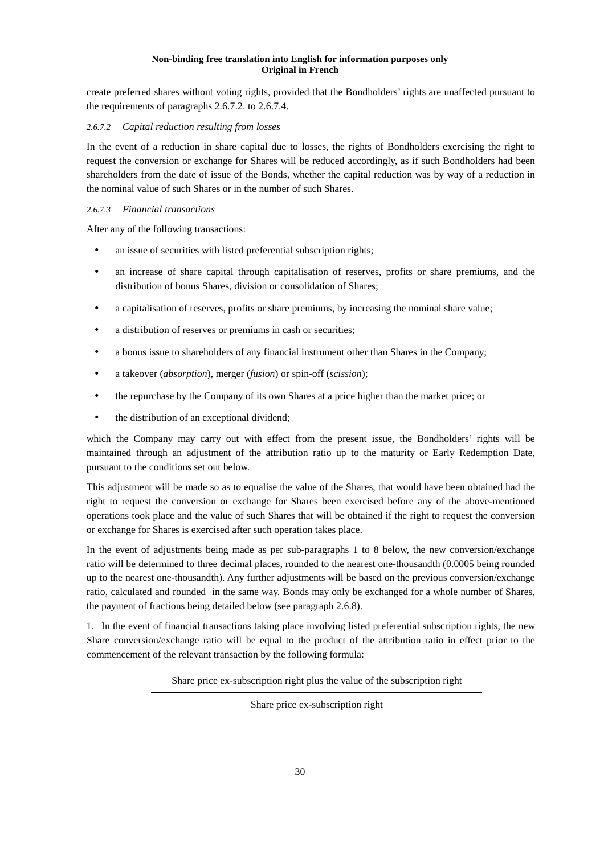create preferred shares without voting rights, provided that the Bondholders' rights are unaffected pursuant to the requirements of paragraphs 2.6.7.2. to 2.6.7.4.

## *2.6.7.2 Capital reduction resulting from losses*

In the event of a reduction in share capital due to losses, the rights of Bondholders exercising the right to request the conversion or exchange for Shares will be reduced accordingly, as if such Bondholders had been shareholders from the date of issue of the Bonds, whether the capital reduction was by way of a reduction in the nominal value of such Shares or in the number of such Shares.

#### *2.6.7.3 Financial transactions*

After any of the following transactions:

- an issue of securities with listed preferential subscription rights;
- an increase of share capital through capitalisation of reserves, profits or share premiums, and the distribution of bonus Shares, division or consolidation of Shares;
- a capitalisation of reserves, profits or share premiums, by increasing the nominal share value;
- a distribution of reserves or premiums in cash or securities;
- a bonus issue to shareholders of any financial instrument other than Shares in the Company;
- a takeover (*absorption*), merger (*fusion*) or spin-off (*scission*);
- the repurchase by the Company of its own Shares at a price higher than the market price; or
- the distribution of an exceptional dividend;

which the Company may carry out with effect from the present issue, the Bondholders' rights will be maintained through an adjustment of the attribution ratio up to the maturity or Early Redemption Date, pursuant to the conditions set out below.

This adjustment will be made so as to equalise the value of the Shares, that would have been obtained had the right to request the conversion or exchange for Shares been exercised before any of the above-mentioned operations took place and the value of such Shares that will be obtained if the right to request the conversion or exchange for Shares is exercised after such operation takes place.

In the event of adjustments being made as per sub-paragraphs 1 to 8 below, the new conversion/exchange ratio will be determined to three decimal places, rounded to the nearest one-thousandth (0.0005 being rounded up to the nearest one-thousandth). Any further adjustments will be based on the previous conversion/exchange ratio, calculated and rounded in the same way. Bonds may only be exchanged for a whole number of Shares, the payment of fractions being detailed below (see paragraph 2.6.8).

1. In the event of financial transactions taking place involving listed preferential subscription rights, the new Share conversion/exchange ratio will be equal to the product of the attribution ratio in effect prior to the commencement of the relevant transaction by the following formula:

Share price ex-subscription right plus the value of the subscription right

Share price ex-subscription right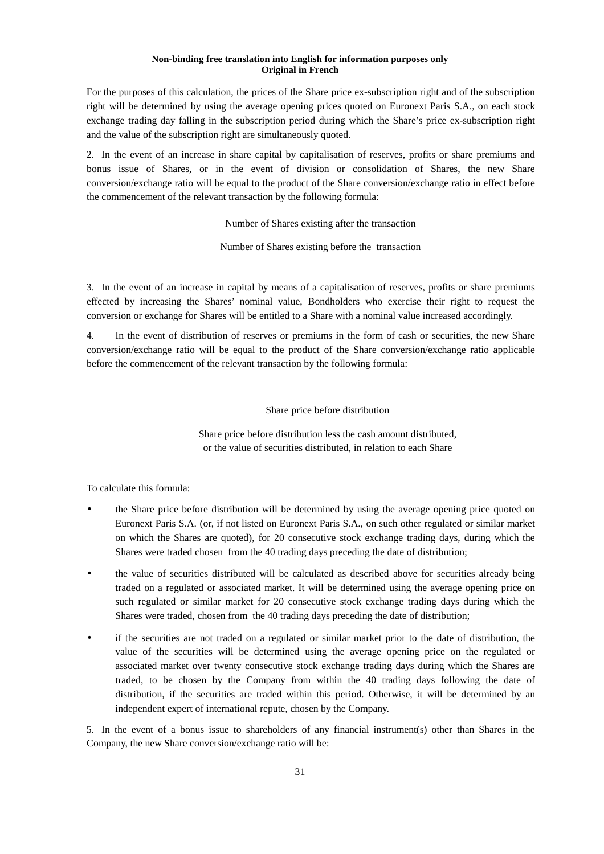For the purposes of this calculation, the prices of the Share price ex-subscription right and of the subscription right will be determined by using the average opening prices quoted on Euronext Paris S.A., on each stock exchange trading day falling in the subscription period during which the Share's price ex-subscription right and the value of the subscription right are simultaneously quoted.

2. In the event of an increase in share capital by capitalisation of reserves, profits or share premiums and bonus issue of Shares, or in the event of division or consolidation of Shares, the new Share conversion/exchange ratio will be equal to the product of the Share conversion/exchange ratio in effect before the commencement of the relevant transaction by the following formula:

Number of Shares existing after the transaction

Number of Shares existing before the transaction

3. In the event of an increase in capital by means of a capitalisation of reserves, profits or share premiums effected by increasing the Shares' nominal value, Bondholders who exercise their right to request the conversion or exchange for Shares will be entitled to a Share with a nominal value increased accordingly.

4. In the event of distribution of reserves or premiums in the form of cash or securities, the new Share conversion/exchange ratio will be equal to the product of the Share conversion/exchange ratio applicable before the commencement of the relevant transaction by the following formula:

Share price before distribution

Share price before distribution less the cash amount distributed, or the value of securities distributed, in relation to each Share

To calculate this formula:

- the Share price before distribution will be determined by using the average opening price quoted on Euronext Paris S.A. (or, if not listed on Euronext Paris S.A., on such other regulated or similar market on which the Shares are quoted), for 20 consecutive stock exchange trading days, during which the Shares were traded chosen from the 40 trading days preceding the date of distribution;
- the value of securities distributed will be calculated as described above for securities already being traded on a regulated or associated market. It will be determined using the average opening price on such regulated or similar market for 20 consecutive stock exchange trading days during which the Shares were traded, chosen from the 40 trading days preceding the date of distribution;
- if the securities are not traded on a regulated or similar market prior to the date of distribution, the value of the securities will be determined using the average opening price on the regulated or associated market over twenty consecutive stock exchange trading days during which the Shares are traded, to be chosen by the Company from within the 40 trading days following the date of distribution, if the securities are traded within this period. Otherwise, it will be determined by an independent expert of international repute, chosen by the Company.

5. In the event of a bonus issue to shareholders of any financial instrument(s) other than Shares in the Company, the new Share conversion/exchange ratio will be: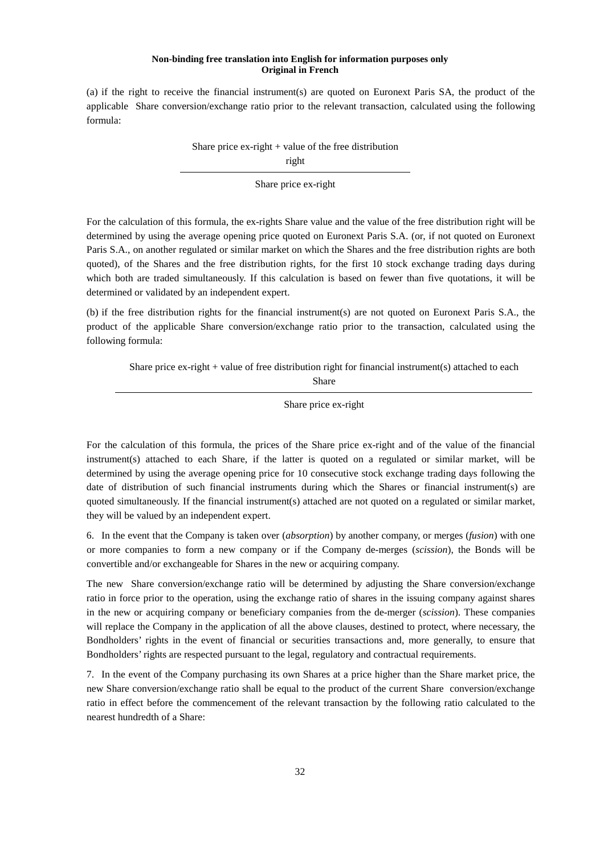(a) if the right to receive the financial instrument(s) are quoted on Euronext Paris SA, the product of the applicable Share conversion/exchange ratio prior to the relevant transaction, calculated using the following formula:

Share price  $ex$ -right  $+$  value of the free distribution

right

Share price ex-right

For the calculation of this formula, the ex-rights Share value and the value of the free distribution right will be determined by using the average opening price quoted on Euronext Paris S.A. (or, if not quoted on Euronext Paris S.A., on another regulated or similar market on which the Shares and the free distribution rights are both quoted), of the Shares and the free distribution rights, for the first 10 stock exchange trading days during which both are traded simultaneously. If this calculation is based on fewer than five quotations, it will be determined or validated by an independent expert.

(b) if the free distribution rights for the financial instrument(s) are not quoted on Euronext Paris S.A., the product of the applicable Share conversion/exchange ratio prior to the transaction, calculated using the following formula:

Share price ex-right + value of free distribution right for financial instrument(s) attached to each Share

Share price ex-right

For the calculation of this formula, the prices of the Share price ex-right and of the value of the financial instrument(s) attached to each Share, if the latter is quoted on a regulated or similar market, will be determined by using the average opening price for 10 consecutive stock exchange trading days following the date of distribution of such financial instruments during which the Shares or financial instrument(s) are quoted simultaneously. If the financial instrument(s) attached are not quoted on a regulated or similar market, they will be valued by an independent expert.

6. In the event that the Company is taken over (*absorption*) by another company, or merges (*fusion*) with one or more companies to form a new company or if the Company de-merges (*scission*), the Bonds will be convertible and/or exchangeable for Shares in the new or acquiring company.

The new Share conversion/exchange ratio will be determined by adjusting the Share conversion/exchange ratio in force prior to the operation, using the exchange ratio of shares in the issuing company against shares in the new or acquiring company or beneficiary companies from the de-merger (*scission*). These companies will replace the Company in the application of all the above clauses, destined to protect, where necessary, the Bondholders' rights in the event of financial or securities transactions and, more generally, to ensure that Bondholders' rights are respected pursuant to the legal, regulatory and contractual requirements.

7. In the event of the Company purchasing its own Shares at a price higher than the Share market price, the new Share conversion/exchange ratio shall be equal to the product of the current Share conversion/exchange ratio in effect before the commencement of the relevant transaction by the following ratio calculated to the nearest hundredth of a Share: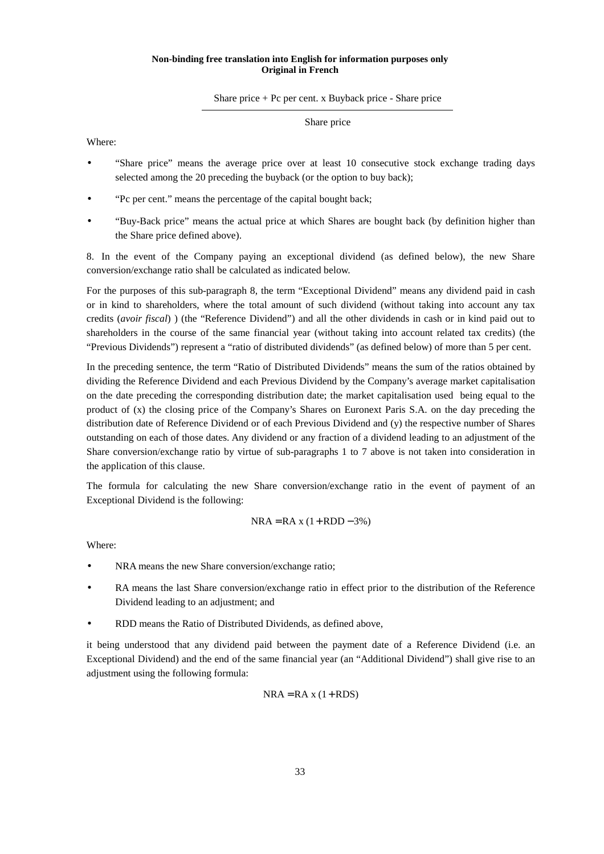#### Share price  $+$  Pc per cent. x Buyback price - Share price

#### Share price

Where:

- "Share price" means the average price over at least 10 consecutive stock exchange trading days selected among the 20 preceding the buyback (or the option to buy back);
- "Pc per cent." means the percentage of the capital bought back;
- "Buy-Back price" means the actual price at which Shares are bought back (by definition higher than the Share price defined above).

8. In the event of the Company paying an exceptional dividend (as defined below), the new Share conversion/exchange ratio shall be calculated as indicated below.

For the purposes of this sub-paragraph 8, the term "Exceptional Dividend" means any dividend paid in cash or in kind to shareholders, where the total amount of such dividend (without taking into account any tax credits (*avoir fiscal*) ) (the "Reference Dividend") and all the other dividends in cash or in kind paid out to shareholders in the course of the same financial year (without taking into account related tax credits) (the "Previous Dividends") represent a "ratio of distributed dividends" (as defined below) of more than 5 per cent.

In the preceding sentence, the term "Ratio of Distributed Dividends" means the sum of the ratios obtained by dividing the Reference Dividend and each Previous Dividend by the Company's average market capitalisation on the date preceding the corresponding distribution date; the market capitalisation used being equal to the product of (x) the closing price of the Company's Shares on Euronext Paris S.A. on the day preceding the distribution date of Reference Dividend or of each Previous Dividend and (y) the respective number of Shares outstanding on each of those dates. Any dividend or any fraction of a dividend leading to an adjustment of the Share conversion/exchange ratio by virtue of sub-paragraphs 1 to 7 above is not taken into consideration in the application of this clause.

The formula for calculating the new Share conversion/exchange ratio in the event of payment of an Exceptional Dividend is the following:

$$
NRA = RA x (1 + RDD - 3\%)
$$

Where:

- NRA means the new Share conversion/exchange ratio;
- RA means the last Share conversion/exchange ratio in effect prior to the distribution of the Reference Dividend leading to an adjustment; and
- RDD means the Ratio of Distributed Dividends, as defined above,

it being understood that any dividend paid between the payment date of a Reference Dividend (i.e. an Exceptional Dividend) and the end of the same financial year (an "Additional Dividend") shall give rise to an adjustment using the following formula:

$$
NRA = RA x (1 + RDS)
$$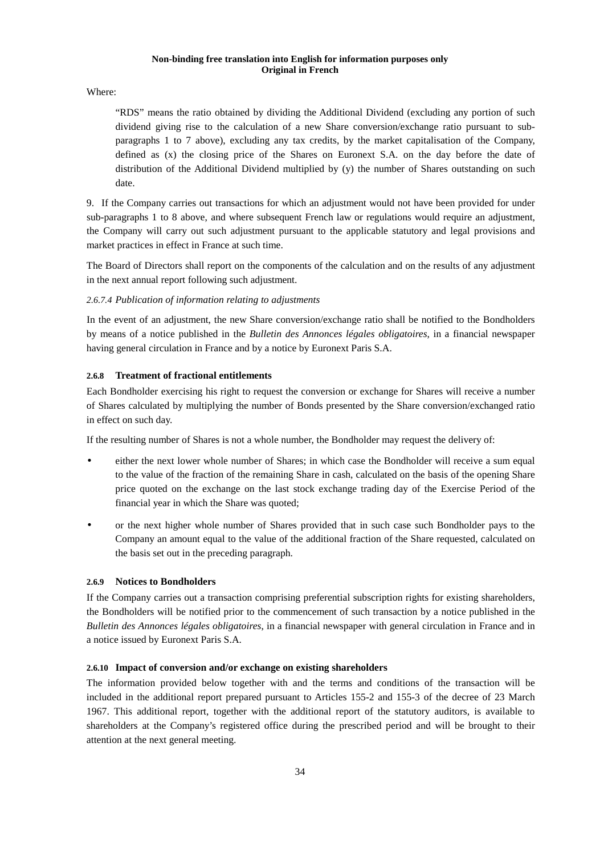Where:

"RDS" means the ratio obtained by dividing the Additional Dividend (excluding any portion of such dividend giving rise to the calculation of a new Share conversion/exchange ratio pursuant to subparagraphs 1 to 7 above), excluding any tax credits, by the market capitalisation of the Company, defined as (x) the closing price of the Shares on Euronext S.A. on the day before the date of distribution of the Additional Dividend multiplied by (y) the number of Shares outstanding on such date.

9. If the Company carries out transactions for which an adjustment would not have been provided for under sub-paragraphs 1 to 8 above, and where subsequent French law or regulations would require an adjustment, the Company will carry out such adjustment pursuant to the applicable statutory and legal provisions and market practices in effect in France at such time.

The Board of Directors shall report on the components of the calculation and on the results of any adjustment in the next annual report following such adjustment.

## *2.6.7.4 Publication of information relating to adjustments*

In the event of an adjustment, the new Share conversion/exchange ratio shall be notified to the Bondholders by means of a notice published in the *Bulletin des Annonces légales obligatoires*, in a financial newspaper having general circulation in France and by a notice by Euronext Paris S.A.

## **2.6.8 Treatment of fractional entitlements**

Each Bondholder exercising his right to request the conversion or exchange for Shares will receive a number of Shares calculated by multiplying the number of Bonds presented by the Share conversion/exchanged ratio in effect on such day.

If the resulting number of Shares is not a whole number, the Bondholder may request the delivery of:

- either the next lower whole number of Shares; in which case the Bondholder will receive a sum equal to the value of the fraction of the remaining Share in cash, calculated on the basis of the opening Share price quoted on the exchange on the last stock exchange trading day of the Exercise Period of the financial year in which the Share was quoted;
- or the next higher whole number of Shares provided that in such case such Bondholder pays to the Company an amount equal to the value of the additional fraction of the Share requested, calculated on the basis set out in the preceding paragraph.

## **2.6.9 Notices to Bondholders**

If the Company carries out a transaction comprising preferential subscription rights for existing shareholders, the Bondholders will be notified prior to the commencement of such transaction by a notice published in the *Bulletin des Annonces légales obligatoires*, in a financial newspaper with general circulation in France and in a notice issued by Euronext Paris S.A.

## **2.6.10 Impact of conversion and/or exchange on existing shareholders**

The information provided below together with and the terms and conditions of the transaction will be included in the additional report prepared pursuant to Articles 155-2 and 155-3 of the decree of 23 March 1967. This additional report, together with the additional report of the statutory auditors, is available to shareholders at the Company's registered office during the prescribed period and will be brought to their attention at the next general meeting.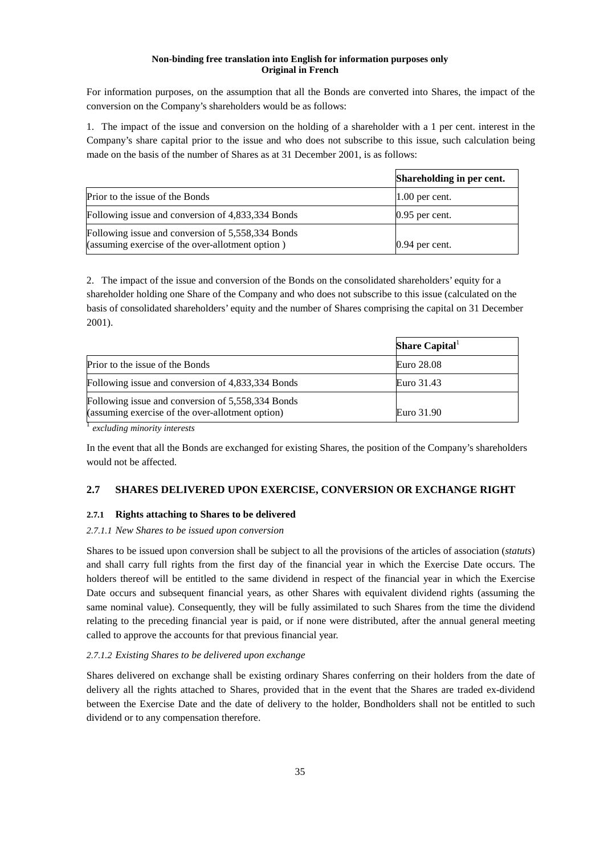For information purposes, on the assumption that all the Bonds are converted into Shares, the impact of the conversion on the Company's shareholders would be as follows:

1. The impact of the issue and conversion on the holding of a shareholder with a 1 per cent. interest in the Company's share capital prior to the issue and who does not subscribe to this issue, such calculation being made on the basis of the number of Shares as at 31 December 2001, is as follows:

|                                                                                                       | Shareholding in per cent. |
|-------------------------------------------------------------------------------------------------------|---------------------------|
| Prior to the issue of the Bonds                                                                       | $1.00$ per cent.          |
| Following issue and conversion of 4,833,334 Bonds                                                     | $0.95$ per cent.          |
| Following issue and conversion of 5,558,334 Bonds<br>(assuming exercise of the over-allotment option) | $0.94$ per cent.          |

2. The impact of the issue and conversion of the Bonds on the consolidated shareholders' equity for a shareholder holding one Share of the Company and who does not subscribe to this issue (calculated on the basis of consolidated shareholders' equity and the number of Shares comprising the capital on 31 December 2001).

|                                                                                                       | Share Capital |
|-------------------------------------------------------------------------------------------------------|---------------|
| Prior to the issue of the Bonds                                                                       | Euro 28.08    |
| Following issue and conversion of 4,833,334 Bonds                                                     | Euro 31.43    |
| Following issue and conversion of 5,558,334 Bonds<br>(assuming exercise of the over-allotment option) | Euro 31.90    |

<sup>1</sup> *excluding minority interests*

In the event that all the Bonds are exchanged for existing Shares, the position of the Company's shareholders would not be affected.

# **2.7 SHARES DELIVERED UPON EXERCISE, CONVERSION OR EXCHANGE RIGHT**

## **2.7.1 Rights attaching to Shares to be delivered**

#### *2.7.1.1 New Shares to be issued upon conversion*

Shares to be issued upon conversion shall be subject to all the provisions of the articles of association (*statuts*) and shall carry full rights from the first day of the financial year in which the Exercise Date occurs. The holders thereof will be entitled to the same dividend in respect of the financial year in which the Exercise Date occurs and subsequent financial years, as other Shares with equivalent dividend rights (assuming the same nominal value). Consequently, they will be fully assimilated to such Shares from the time the dividend relating to the preceding financial year is paid, or if none were distributed, after the annual general meeting called to approve the accounts for that previous financial year.

#### *2.7.1.2 Existing Shares to be delivered upon exchange*

Shares delivered on exchange shall be existing ordinary Shares conferring on their holders from the date of delivery all the rights attached to Shares, provided that in the event that the Shares are traded ex-dividend between the Exercise Date and the date of delivery to the holder, Bondholders shall not be entitled to such dividend or to any compensation therefore.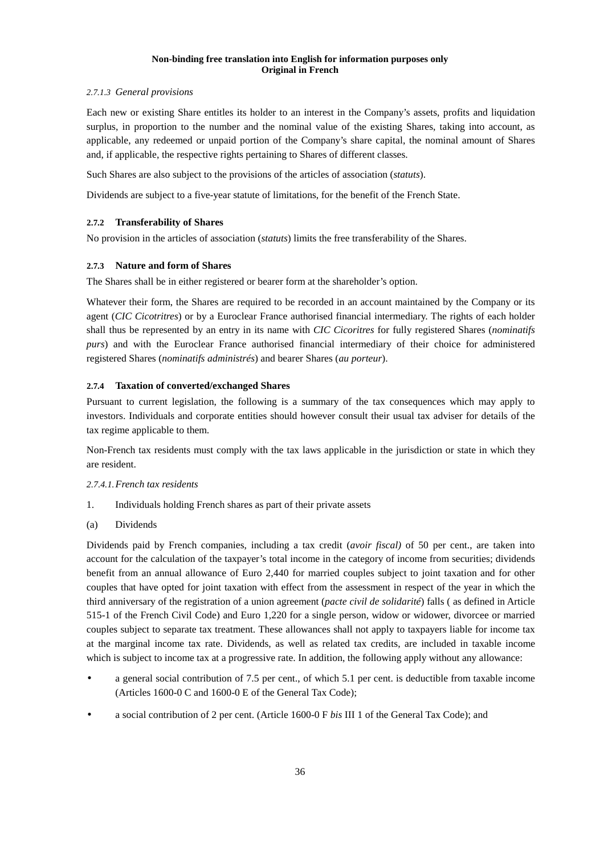## *2.7.1.3 General provisions*

Each new or existing Share entitles its holder to an interest in the Company's assets, profits and liquidation surplus, in proportion to the number and the nominal value of the existing Shares, taking into account, as applicable, any redeemed or unpaid portion of the Company's share capital, the nominal amount of Shares and, if applicable, the respective rights pertaining to Shares of different classes.

Such Shares are also subject to the provisions of the articles of association (*statuts*).

Dividends are subject to a five-year statute of limitations, for the benefit of the French State.

## **2.7.2 Transferability of Shares**

No provision in the articles of association (*statuts*) limits the free transferability of the Shares.

## **2.7.3 Nature and form of Shares**

The Shares shall be in either registered or bearer form at the shareholder's option.

Whatever their form, the Shares are required to be recorded in an account maintained by the Company or its agent (*CIC Cicotritres*) or by a Euroclear France authorised financial intermediary. The rights of each holder shall thus be represented by an entry in its name with *CIC Cicoritres* for fully registered Shares (*nominatifs purs*) and with the Euroclear France authorised financial intermediary of their choice for administered registered Shares (*nominatifs administrés*) and bearer Shares (*au porteur*).

## **2.7.4 Taxation of converted/exchanged Shares**

Pursuant to current legislation, the following is a summary of the tax consequences which may apply to investors. Individuals and corporate entities should however consult their usual tax adviser for details of the tax regime applicable to them.

Non-French tax residents must comply with the tax laws applicable in the jurisdiction or state in which they are resident.

## *2.7.4.1. French tax residents*

- 1. Individuals holding French shares as part of their private assets
- (a) Dividends

Dividends paid by French companies, including a tax credit (*avoir fiscal)* of 50 per cent., are taken into account for the calculation of the taxpayer's total income in the category of income from securities; dividends benefit from an annual allowance of Euro 2,440 for married couples subject to joint taxation and for other couples that have opted for joint taxation with effect from the assessment in respect of the year in which the third anniversary of the registration of a union agreement (*pacte civil de solidarité*) falls ( as defined in Article 515-1 of the French Civil Code) and Euro 1,220 for a single person, widow or widower, divorcee or married couples subject to separate tax treatment. These allowances shall not apply to taxpayers liable for income tax at the marginal income tax rate. Dividends, as well as related tax credits, are included in taxable income which is subject to income tax at a progressive rate. In addition, the following apply without any allowance:

- a general social contribution of 7.5 per cent., of which 5.1 per cent. is deductible from taxable income (Articles 1600-0 C and 1600-0 E of the General Tax Code);
- a social contribution of 2 per cent. (Article 1600-0 F *bis* III 1 of the General Tax Code); and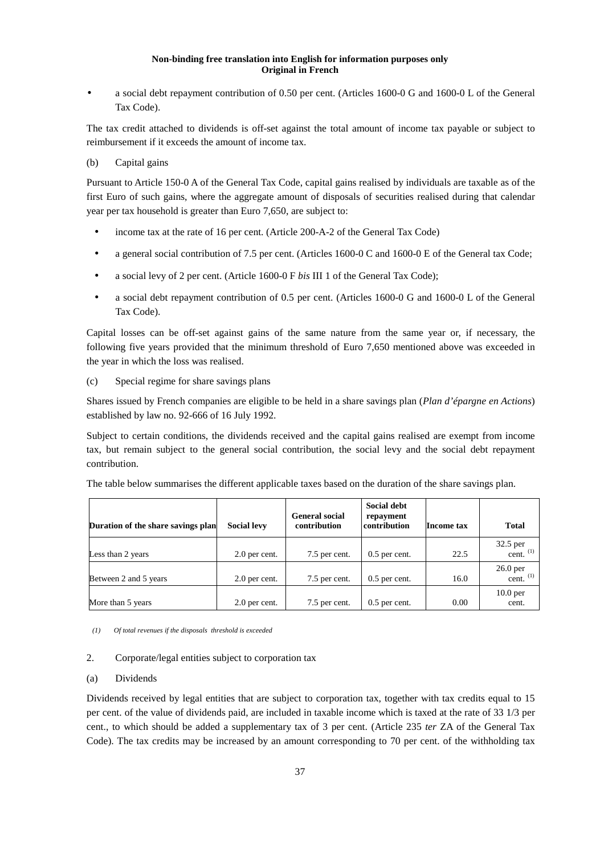• a social debt repayment contribution of 0.50 per cent. (Articles 1600-0 G and 1600-0 L of the General Tax Code).

The tax credit attached to dividends is off-set against the total amount of income tax payable or subject to reimbursement if it exceeds the amount of income tax.

## (b) Capital gains

Pursuant to Article 150-0 A of the General Tax Code, capital gains realised by individuals are taxable as of the first Euro of such gains, where the aggregate amount of disposals of securities realised during that calendar year per tax household is greater than Euro 7,650, are subject to:

- income tax at the rate of 16 per cent. (Article 200-A-2 of the General Tax Code)
- a general social contribution of 7.5 per cent. (Articles 1600-0 C and 1600-0 E of the General tax Code;
- a social levy of 2 per cent. (Article 1600-0 F *bis* III 1 of the General Tax Code);
- a social debt repayment contribution of 0.5 per cent. (Articles 1600-0 G and 1600-0 L of the General Tax Code).

Capital losses can be off-set against gains of the same nature from the same year or, if necessary, the following five years provided that the minimum threshold of Euro 7,650 mentioned above was exceeded in the year in which the loss was realised.

## (c) Special regime for share savings plans

Shares issued by French companies are eligible to be held in a share savings plan (*Plan d'épargne en Actions*) established by law no. 92-666 of 16 July 1992.

Subject to certain conditions, the dividends received and the capital gains realised are exempt from income tax, but remain subject to the general social contribution, the social levy and the social debt repayment contribution.

The table below summarises the different applicable taxes based on the duration of the share savings plan.

| Duration of the share savings plan | <b>Social levy</b> | <b>General social</b><br>contribution | Social debt<br>repayment<br>contribution | Income tax | <b>Total</b>                 |
|------------------------------------|--------------------|---------------------------------------|------------------------------------------|------------|------------------------------|
| Less than 2 years                  | 2.0 per cent.      | 7.5 per cent.                         | $0.5$ per cent.                          | 22.5       | 32.5 per<br>cent. $(1)$      |
| Between 2 and 5 years              | 2.0 per cent.      | 7.5 per cent.                         | $0.5$ per cent.                          | 16.0       | $26.0$ per<br>cent. $(1)$    |
| More than 5 years                  | 2.0 per cent.      | 7.5 per cent.                         | $0.5$ per cent.                          | 0.00       | 10.0 <sub>per</sub><br>cent. |

*(1) Of total revenues if the disposals threshold is exceeded* 

## 2. Corporate/legal entities subject to corporation tax

## (a) Dividends

Dividends received by legal entities that are subject to corporation tax, together with tax credits equal to 15 per cent. of the value of dividends paid, are included in taxable income which is taxed at the rate of 33 1/3 per cent., to which should be added a supplementary tax of 3 per cent. (Article 235 *ter* ZA of the General Tax Code). The tax credits may be increased by an amount corresponding to 70 per cent. of the withholding tax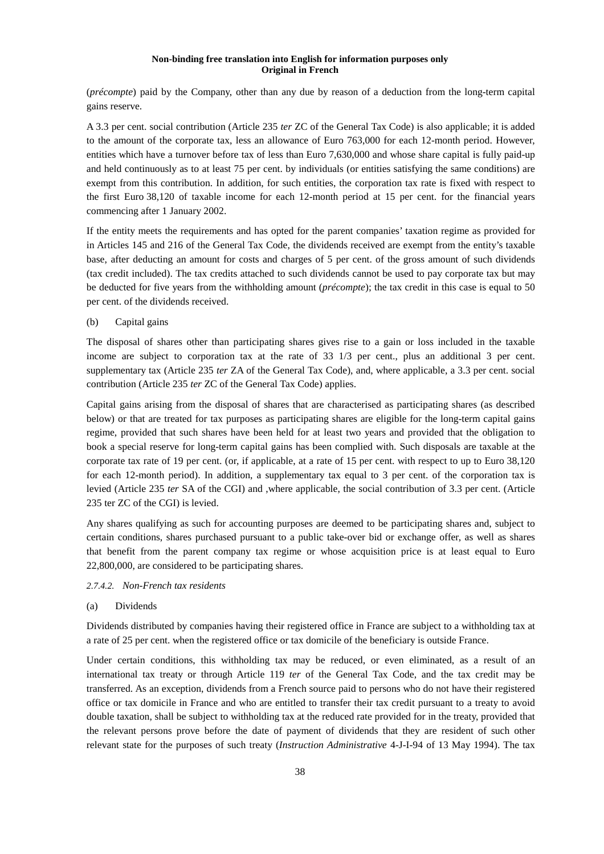(*précompte*) paid by the Company, other than any due by reason of a deduction from the long-term capital gains reserve.

A 3.3 per cent. social contribution (Article 235 *ter* ZC of the General Tax Code) is also applicable; it is added to the amount of the corporate tax, less an allowance of Euro 763,000 for each 12-month period. However, entities which have a turnover before tax of less than Euro 7,630,000 and whose share capital is fully paid-up and held continuously as to at least 75 per cent. by individuals (or entities satisfying the same conditions) are exempt from this contribution. In addition, for such entities, the corporation tax rate is fixed with respect to the first Euro 38,120 of taxable income for each 12-month period at 15 per cent. for the financial years commencing after 1 January 2002.

If the entity meets the requirements and has opted for the parent companies' taxation regime as provided for in Articles 145 and 216 of the General Tax Code, the dividends received are exempt from the entity's taxable base, after deducting an amount for costs and charges of 5 per cent. of the gross amount of such dividends (tax credit included). The tax credits attached to such dividends cannot be used to pay corporate tax but may be deducted for five years from the withholding amount (*précompte*); the tax credit in this case is equal to 50 per cent. of the dividends received.

## (b) Capital gains

The disposal of shares other than participating shares gives rise to a gain or loss included in the taxable income are subject to corporation tax at the rate of 33 1/3 per cent., plus an additional 3 per cent. supplementary tax (Article 235 *ter* ZA of the General Tax Code), and, where applicable, a 3.3 per cent. social contribution (Article 235 *ter* ZC of the General Tax Code) applies.

Capital gains arising from the disposal of shares that are characterised as participating shares (as described below) or that are treated for tax purposes as participating shares are eligible for the long-term capital gains regime, provided that such shares have been held for at least two years and provided that the obligation to book a special reserve for long-term capital gains has been complied with. Such disposals are taxable at the corporate tax rate of 19 per cent. (or, if applicable, at a rate of 15 per cent. with respect to up to Euro 38,120 for each 12-month period). In addition, a supplementary tax equal to 3 per cent. of the corporation tax is levied (Article 235 *ter* SA of the CGI) and ,where applicable, the social contribution of 3.3 per cent. (Article 235 ter ZC of the CGI) is levied.

Any shares qualifying as such for accounting purposes are deemed to be participating shares and, subject to certain conditions, shares purchased pursuant to a public take-over bid or exchange offer, as well as shares that benefit from the parent company tax regime or whose acquisition price is at least equal to Euro 22,800,000, are considered to be participating shares.

#### *2.7.4.2. Non-French tax residents*

#### (a) Dividends

Dividends distributed by companies having their registered office in France are subject to a withholding tax at a rate of 25 per cent. when the registered office or tax domicile of the beneficiary is outside France.

Under certain conditions, this withholding tax may be reduced, or even eliminated, as a result of an international tax treaty or through Article 119 *ter* of the General Tax Code, and the tax credit may be transferred. As an exception, dividends from a French source paid to persons who do not have their registered office or tax domicile in France and who are entitled to transfer their tax credit pursuant to a treaty to avoid double taxation, shall be subject to withholding tax at the reduced rate provided for in the treaty, provided that the relevant persons prove before the date of payment of dividends that they are resident of such other relevant state for the purposes of such treaty (*Instruction Administrative* 4-J-I-94 of 13 May 1994). The tax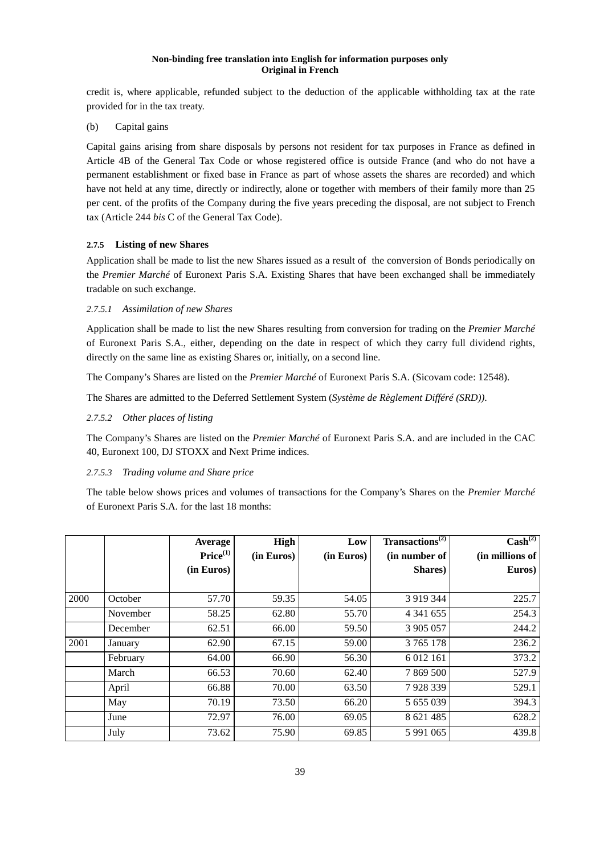credit is, where applicable, refunded subject to the deduction of the applicable withholding tax at the rate provided for in the tax treaty.

(b) Capital gains

Capital gains arising from share disposals by persons not resident for tax purposes in France as defined in Article 4B of the General Tax Code or whose registered office is outside France (and who do not have a permanent establishment or fixed base in France as part of whose assets the shares are recorded) and which have not held at any time, directly or indirectly, alone or together with members of their family more than 25 per cent. of the profits of the Company during the five years preceding the disposal, are not subject to French tax (Article 244 *bis* C of the General Tax Code).

## **2.7.5 Listing of new Shares**

Application shall be made to list the new Shares issued as a result of the conversion of Bonds periodically on the *Premier Marché* of Euronext Paris S.A. Existing Shares that have been exchanged shall be immediately tradable on such exchange.

## *2.7.5.1 Assimilation of new Shares*

Application shall be made to list the new Shares resulting from conversion for trading on the *Premier Marché* of Euronext Paris S.A., either, depending on the date in respect of which they carry full dividend rights, directly on the same line as existing Shares or, initially, on a second line.

The Company's Shares are listed on the *Premier Marché* of Euronext Paris S.A. (Sicovam code: 12548).

The Shares are admitted to the Deferred Settlement System (*Système de Règlement Différé (SRD))*.

## *2.7.5.2 Other places of listing*

The Company's Shares are listed on the *Premier Marché* of Euronext Paris S.A. and are included in the CAC 40, Euronext 100, DJ STOXX and Next Prime indices.

## *2.7.5.3 Trading volume and Share price*

The table below shows prices and volumes of transactions for the Company's Shares on the *Premier Marché* of Euronext Paris S.A. for the last 18 months:

|      |          | Average              | High       | Low        | Transactions <sup>(2)</sup> | $\text{Cash}^{(2)}$ |
|------|----------|----------------------|------------|------------|-----------------------------|---------------------|
|      |          | Price <sup>(1)</sup> | (in Euros) | (in Euros) | (in number of               | (in millions of     |
|      |          | (in Euros)           |            |            | Shares)                     | Euros)              |
|      |          |                      |            |            |                             |                     |
| 2000 | October  | 57.70                | 59.35      | 54.05      | 3 9 19 3 44                 | 225.7               |
|      | November | 58.25                | 62.80      | 55.70      | 4 341 655                   | 254.3               |
|      | December | 62.51                | 66.00      | 59.50      | 3 905 057                   | 244.2               |
| 2001 | January  | 62.90                | 67.15      | 59.00      | 3 765 178                   | 236.2               |
|      | February | 64.00                | 66.90      | 56.30      | 6 0 12 16 1                 | 373.2               |
|      | March    | 66.53                | 70.60      | 62.40      | 7 869 500                   | 527.9               |
|      | April    | 66.88                | 70.00      | 63.50      | 7928339                     | 529.1               |
|      | May      | 70.19                | 73.50      | 66.20      | 5 655 039                   | 394.3               |
|      | June     | 72.97                | 76.00      | 69.05      | 8 621 485                   | 628.2               |
|      | July     | 73.62                | 75.90      | 69.85      | 5 9 9 1 0 6 5               | 439.8               |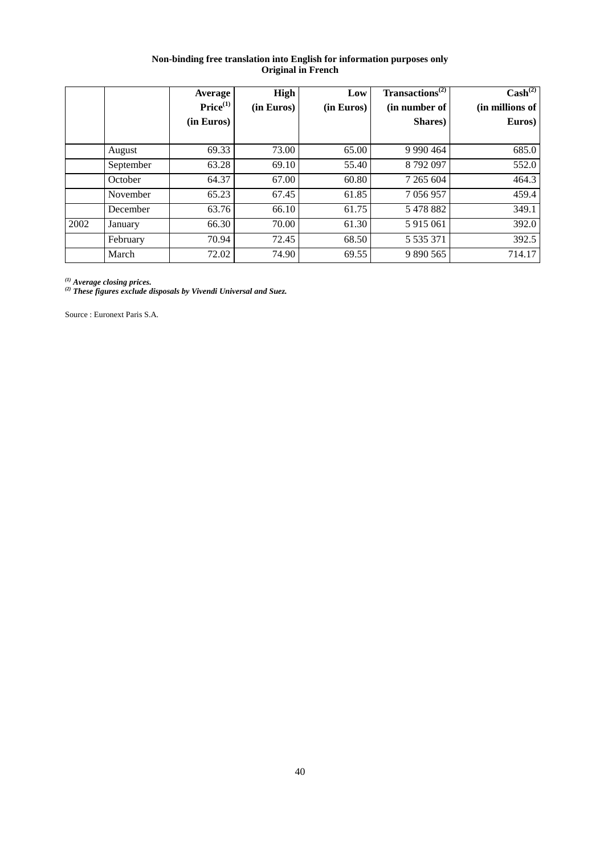|      |           | Average<br>Price <sup>(1)</sup><br>(in Euros) | <b>High</b><br>(in Euros) | Low<br>(in Euros) | Transactions <sup>(2)</sup><br>(in number of<br>Shares) | $\text{Cash}^{(2)}$<br>(in millions of<br>Euros) |
|------|-----------|-----------------------------------------------|---------------------------|-------------------|---------------------------------------------------------|--------------------------------------------------|
|      | August    | 69.33                                         | 73.00                     | 65.00             | 9 9 9 4 4 5 4 6 4                                       | 685.0                                            |
|      | September | 63.28                                         | 69.10                     | 55.40             | 8792097                                                 | 552.0                                            |
|      | October   | 64.37                                         | 67.00                     | 60.80             | 7 265 604                                               | 464.3                                            |
|      | November  | 65.23                                         | 67.45                     | 61.85             | 7 0 5 6 9 5 7                                           | 459.4                                            |
|      | December  | 63.76                                         | 66.10                     | 61.75             | 5478882                                                 | 349.1                                            |
| 2002 | January   | 66.30                                         | 70.00                     | 61.30             | 5 915 061                                               | 392.0                                            |
|      | February  | 70.94                                         | 72.45                     | 68.50             | 5 5 3 5 3 7 1                                           | 392.5                                            |
|      | March     | 72.02                                         | 74.90                     | 69.55             | 9 890 565                                               | 714.17                                           |

*(1) Average closing prices. (2) These figures exclude disposals by Vivendi Universal and Suez.*

Source : Euronext Paris S.A.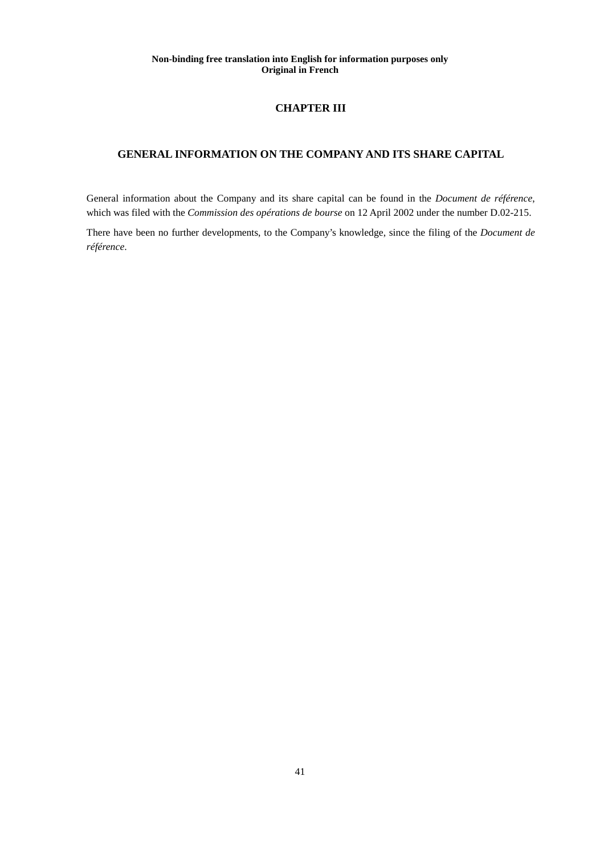# **CHAPTER III**

# **GENERAL INFORMATION ON THE COMPANY AND ITS SHARE CAPITAL**

General information about the Company and its share capital can be found in the *Document de référence*, which was filed with the *Commission des opérations de bourse* on 12 April 2002 under the number D.02-215.

There have been no further developments, to the Company's knowledge, since the filing of the *Document de référence*.

41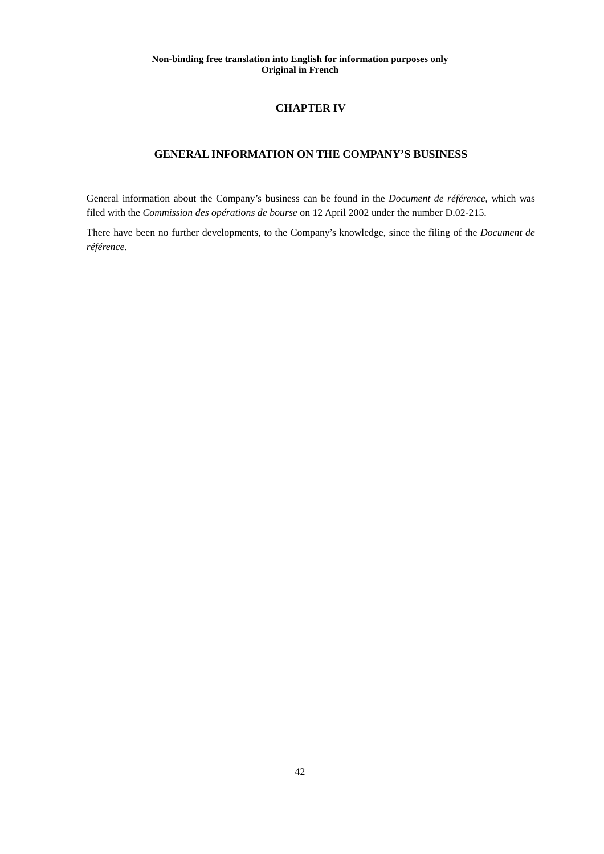## **CHAPTER IV**

## **GENERAL INFORMATION ON THE COMPANY'S BUSINESS**

General information about the Company's business can be found in the *Document de référence*, which was filed with the *Commission des opérations de bourse* on 12 April 2002 under the number D.02-215.

There have been no further developments, to the Company's knowledge, since the filing of the *Document de référence*.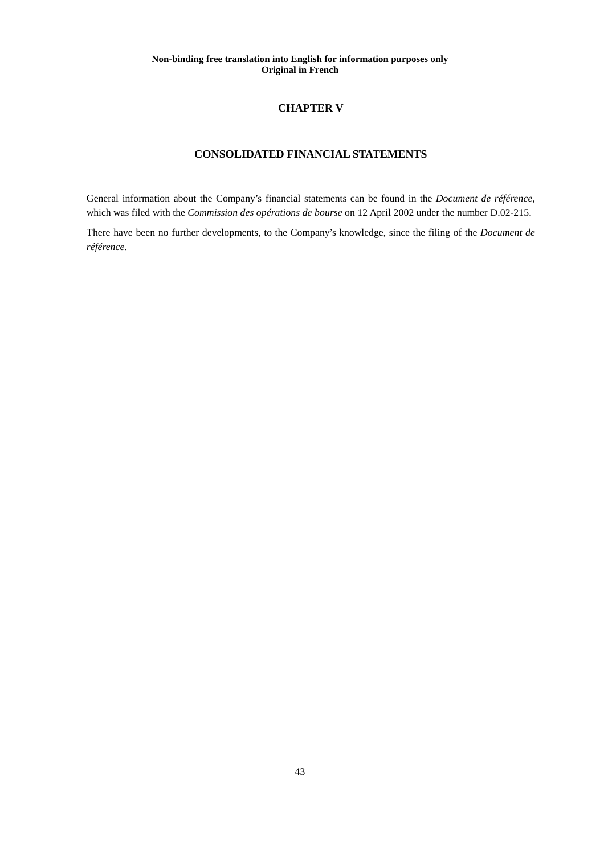## **CHAPTER V**

# **CONSOLIDATED FINANCIAL STATEMENTS**

General information about the Company's financial statements can be found in the *Document de référence*, which was filed with the *Commission des opérations de bourse* on 12 April 2002 under the number D.02-215.

There have been no further developments, to the Company's knowledge, since the filing of the *Document de référence*.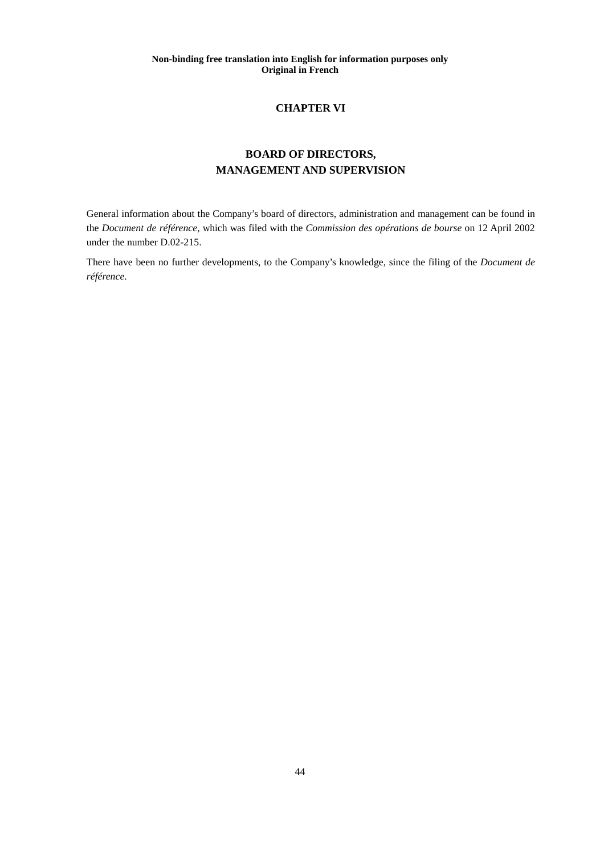# **CHAPTER VI**

# **BOARD OF DIRECTORS, MANAGEMENT AND SUPERVISION**

General information about the Company's board of directors, administration and management can be found in the *Document de référence*, which was filed with the *Commission des opérations de bourse* on 12 April 2002 under the number D.02-215.

There have been no further developments, to the Company's knowledge, since the filing of the *Document de référence*.